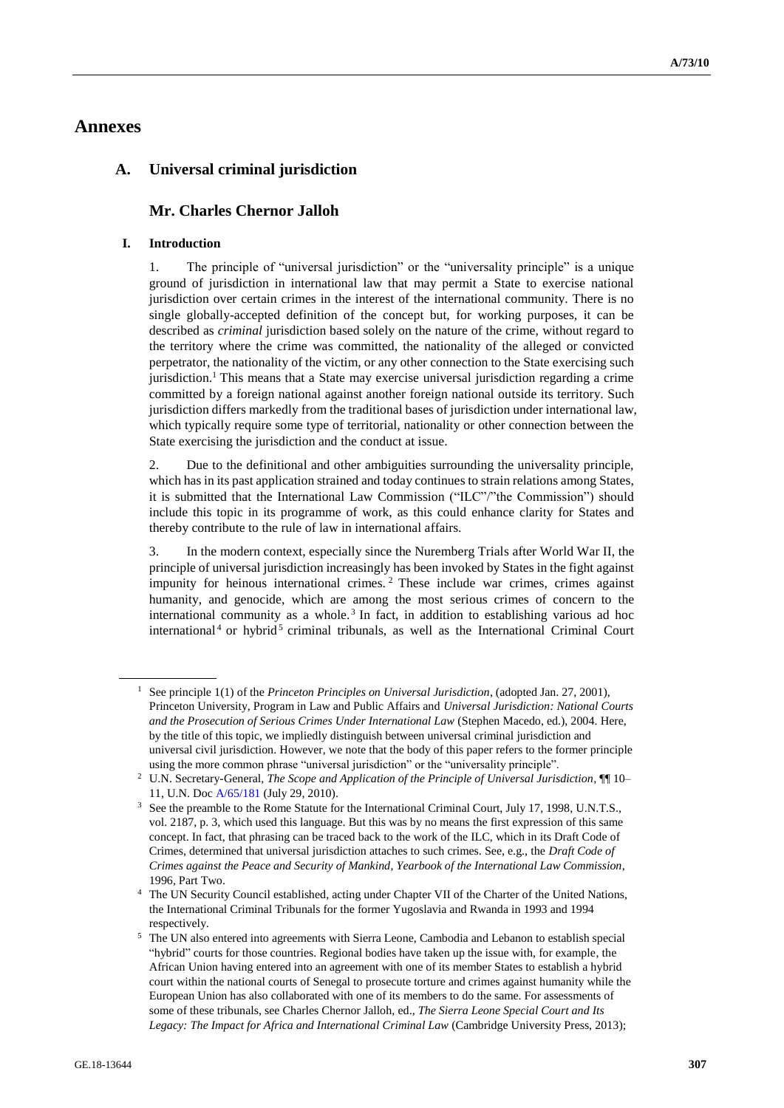# **Annexes**

# **A. Universal criminal jurisdiction**

# **Mr. Charles Chernor Jalloh**

# **I. Introduction**

1. The principle of "universal jurisdiction" or the "universality principle" is a unique ground of jurisdiction in international law that may permit a State to exercise national jurisdiction over certain crimes in the interest of the international community. There is no single globally-accepted definition of the concept but, for working purposes, it can be described as *criminal* jurisdiction based solely on the nature of the crime, without regard to the territory where the crime was committed, the nationality of the alleged or convicted perpetrator, the nationality of the victim, or any other connection to the State exercising such jurisdiction.<sup>1</sup> This means that a State may exercise universal jurisdiction regarding a crime committed by a foreign national against another foreign national outside its territory. Such jurisdiction differs markedly from the traditional bases of jurisdiction under international law, which typically require some type of territorial, nationality or other connection between the State exercising the jurisdiction and the conduct at issue.

2. Due to the definitional and other ambiguities surrounding the universality principle, which has in its past application strained and today continues to strain relations among States, it is submitted that the International Law Commission ("ILC"/"the Commission") should include this topic in its programme of work, as this could enhance clarity for States and thereby contribute to the rule of law in international affairs.

3. In the modern context, especially since the Nuremberg Trials after World War II, the principle of universal jurisdiction increasingly has been invoked by States in the fight against impunity for heinous international crimes. <sup>2</sup> These include war crimes, crimes against humanity, and genocide, which are among the most serious crimes of concern to the international community as a whole.<sup>3</sup> In fact, in addition to establishing various ad hoc international<sup>4</sup> or hybrid<sup>5</sup> criminal tribunals, as well as the International Criminal Court

<sup>1</sup> See principle 1(1) of the *Princeton Principles on Universal Jurisdiction*, (adopted Jan. 27, 2001), Princeton University, Program in Law and Public Affairs and *Universal Jurisdiction: National Courts and the Prosecution of Serious Crimes Under International Law* (Stephen Macedo, ed.), 2004. Here, by the title of this topic, we impliedly distinguish between universal criminal jurisdiction and universal civil jurisdiction. However, we note that the body of this paper refers to the former principle using the more common phrase "universal jurisdiction" or the "universality principle".

<sup>&</sup>lt;sup>2</sup> U.N. Secretary-General, *The Scope and Application of the Principle of Universal Jurisdiction*,  $\P$ <sup>10–2</sup> 11, U.N. Doc [A/65/181](http://undocs.org/en/A/65/181) (July 29, 2010).

<sup>&</sup>lt;sup>3</sup> See the preamble to the Rome Statute for the International Criminal Court, July 17, 1998, U.N.T.S., vol. 2187, p. 3, which used this language. But this was by no means the first expression of this same concept. In fact, that phrasing can be traced back to the work of the ILC, which in its Draft Code of Crimes, determined that universal jurisdiction attaches to such crimes. See, e.g., the *Draft Code of Crimes against the Peace and Security of Mankind*, *Yearbook of the International Law Commission*, 1996, Part Two.

<sup>4</sup> The UN Security Council established, acting under Chapter VII of the Charter of the United Nations, the International Criminal Tribunals for the former Yugoslavia and Rwanda in 1993 and 1994 respectively.

<sup>5</sup> The UN also entered into agreements with Sierra Leone, Cambodia and Lebanon to establish special "hybrid" courts for those countries. Regional bodies have taken up the issue with, for example, the African Union having entered into an agreement with one of its member States to establish a hybrid court within the national courts of Senegal to prosecute torture and crimes against humanity while the European Union has also collaborated with one of its members to do the same. For assessments of some of these tribunals, see Charles Chernor Jalloh, ed., *The Sierra Leone Special Court and Its Legacy: The Impact for Africa and International Criminal Law* (Cambridge University Press, 2013);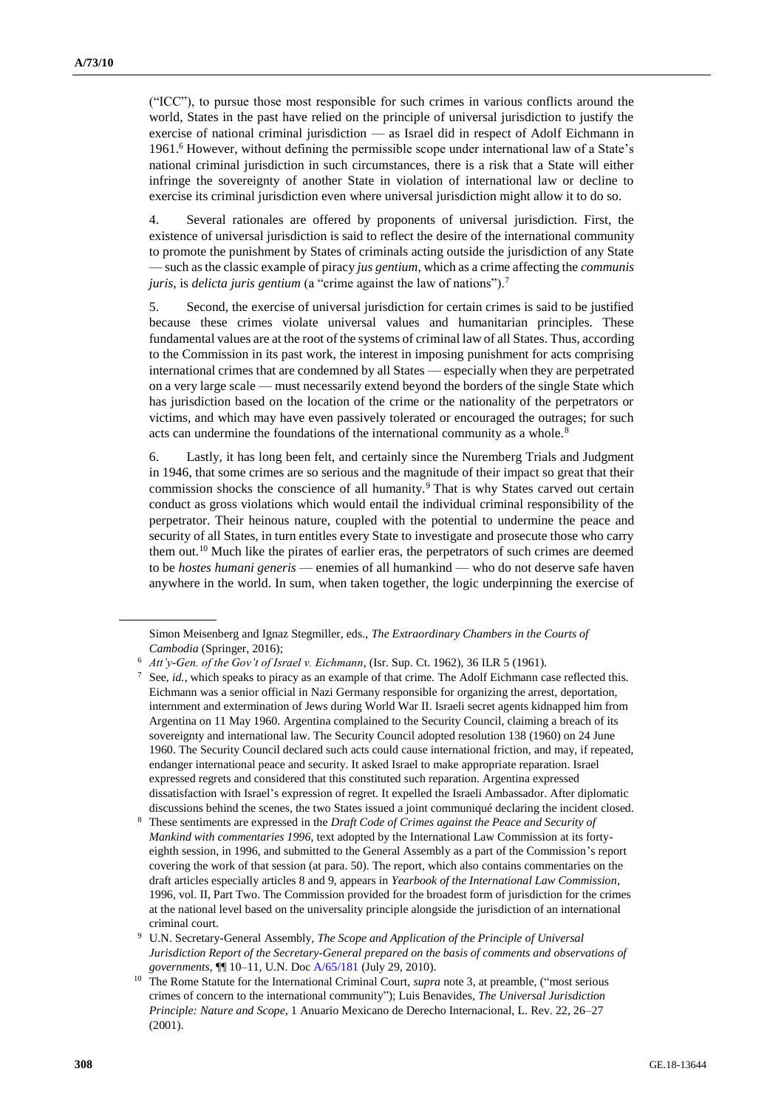("ICC"), to pursue those most responsible for such crimes in various conflicts around the world, States in the past have relied on the principle of universal jurisdiction to justify the exercise of national criminal jurisdiction — as Israel did in respect of Adolf Eichmann in 1961.<sup>6</sup> However, without defining the permissible scope under international law of a State's national criminal jurisdiction in such circumstances, there is a risk that a State will either infringe the sovereignty of another State in violation of international law or decline to exercise its criminal jurisdiction even where universal jurisdiction might allow it to do so.

4. Several rationales are offered by proponents of universal jurisdiction. First, the existence of universal jurisdiction is said to reflect the desire of the international community to promote the punishment by States of criminals acting outside the jurisdiction of any State — such as the classic example of piracy *jus gentium*, which as a crime affecting the *communis juris*, is *delicta juris gentium* (a "crime against the law of nations").<sup>7</sup>

5. Second, the exercise of universal jurisdiction for certain crimes is said to be justified because these crimes violate universal values and humanitarian principles. These fundamental values are at the root of the systems of criminal law of all States. Thus, according to the Commission in its past work, the interest in imposing punishment for acts comprising international crimes that are condemned by all States — especially when they are perpetrated on a very large scale — must necessarily extend beyond the borders of the single State which has jurisdiction based on the location of the crime or the nationality of the perpetrators or victims, and which may have even passively tolerated or encouraged the outrages; for such acts can undermine the foundations of the international community as a whole.<sup>8</sup>

6. Lastly, it has long been felt, and certainly since the Nuremberg Trials and Judgment in 1946, that some crimes are so serious and the magnitude of their impact so great that their commission shocks the conscience of all humanity.<sup>9</sup> That is why States carved out certain conduct as gross violations which would entail the individual criminal responsibility of the perpetrator. Their heinous nature, coupled with the potential to undermine the peace and security of all States, in turn entitles every State to investigate and prosecute those who carry them out.<sup>10</sup> Much like the pirates of earlier eras, the perpetrators of such crimes are deemed to be *hostes humani generis* — enemies of all humankind — who do not deserve safe haven anywhere in the world. In sum, when taken together, the logic underpinning the exercise of

Simon Meisenberg and Ignaz Stegmiller, eds., *The Extraordinary Chambers in the Courts of Cambodia* (Springer, 2016);

<sup>6</sup> *Att'y-Gen. of the Gov't of Israel v. Eichmann*, (Isr. Sup. Ct. 1962), 36 ILR 5 (1961).

See, *id.*, which speaks to piracy as an example of that crime. The Adolf Eichmann case reflected this. Eichmann was a senior official in Nazi Germany responsible for organizing the arrest, deportation, internment and extermination of Jews during World War II. Israeli secret agents kidnapped him from Argentina on 11 May 1960. Argentina complained to the Security Council, claiming a breach of its sovereignty and international law. The Security Council adopted resolution 138 (1960) on 24 June 1960. The Security Council declared such acts could cause international friction, and may, if repeated, endanger international peace and security. It asked Israel to make appropriate reparation. Israel expressed regrets and considered that this constituted such reparation. Argentina expressed dissatisfaction with Israel's expression of regret. It expelled the Israeli Ambassador. After diplomatic discussions behind the scenes, the two States issued a joint communiqué declaring the incident closed.

<sup>8</sup> These sentiments are expressed in the *Draft Code of Crimes against the Peace and Security of Mankind with commentaries 1996*, text adopted by the International Law Commission at its fortyeighth session, in 1996, and submitted to the General Assembly as a part of the Commission's report covering the work of that session (at para. 50). The report, which also contains commentaries on the draft articles especially articles 8 and 9, appears in *Yearbook of the International Law Commission*, 1996, vol. II, Part Two. The Commission provided for the broadest form of jurisdiction for the crimes at the national level based on the universality principle alongside the jurisdiction of an international criminal court.

<sup>9</sup> U.N. Secretary-General Assembly*, The Scope and Application of the Principle of Universal Jurisdiction Report of the Secretary-General prepared on the basis of comments and observations of governments*, ¶¶ 10–11, U.N. Do[c A/65/181](http://undocs.org/en/A/65/181) (July 29, 2010).

<sup>&</sup>lt;sup>10</sup> The Rome Statute for the International Criminal Court, *supra* note 3, at preamble, ("most serious crimes of concern to the international community"); Luis Benavides, *The Universal Jurisdiction Principle: Nature and Scope*, 1 Anuario Mexicano de Derecho Internacional, L. Rev. 22, 26–27 (2001).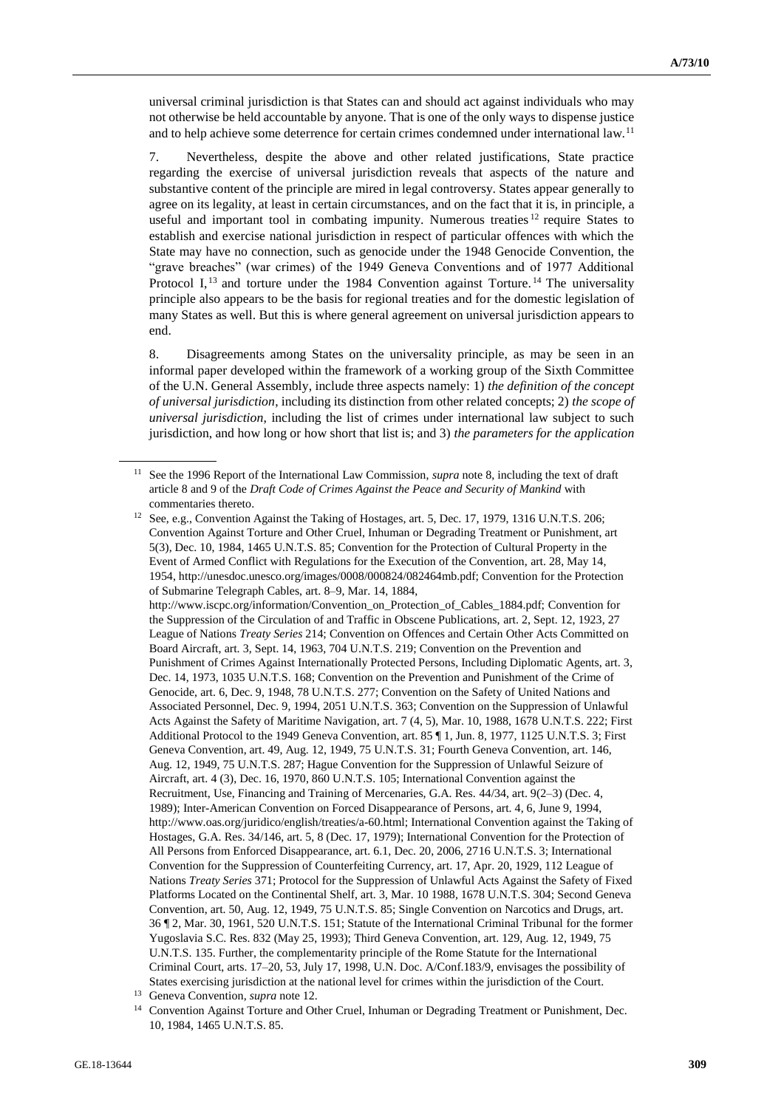universal criminal jurisdiction is that States can and should act against individuals who may not otherwise be held accountable by anyone. That is one of the only ways to dispense justice and to help achieve some deterrence for certain crimes condemned under international law.<sup>11</sup>

7. Nevertheless, despite the above and other related justifications, State practice regarding the exercise of universal jurisdiction reveals that aspects of the nature and substantive content of the principle are mired in legal controversy. States appear generally to agree on its legality, at least in certain circumstances, and on the fact that it is, in principle, a useful and important tool in combating impunity. Numerous treaties  $12$  require States to establish and exercise national jurisdiction in respect of particular offences with which the State may have no connection, such as genocide under the 1948 Genocide Convention, the "grave breaches" (war crimes) of the 1949 Geneva Conventions and of 1977 Additional Protocol I,<sup>13</sup> and torture under the 1984 Convention against Torture.<sup>14</sup> The universality principle also appears to be the basis for regional treaties and for the domestic legislation of many States as well. But this is where general agreement on universal jurisdiction appears to end.

8. Disagreements among States on the universality principle, as may be seen in an informal paper developed within the framework of a working group of the Sixth Committee of the U.N. General Assembly, include three aspects namely: 1) *the definition of the concept of universal jurisdiction*, including its distinction from other related concepts; 2) *the scope of universal jurisdiction*, including the list of crimes under international law subject to such jurisdiction, and how long or how short that list is; and 3) *the parameters for the application* 

<sup>11</sup> See the 1996 Report of the International Law Commission, *supra* note 8, including the text of draft article 8 and 9 of the *Draft Code of Crimes Against the Peace and Security of Mankind* with commentaries thereto.

<sup>&</sup>lt;sup>12</sup> See, e.g., Convention Against the Taking of Hostages, art. 5, Dec. 17, 1979, 1316 U.N.T.S. 206; Convention Against Torture and Other Cruel, Inhuman or Degrading Treatment or Punishment, art 5(3), Dec. 10, 1984, 1465 U.N.T.S. 85; Convention for the Protection of Cultural Property in the Event of Armed Conflict with Regulations for the Execution of the Convention, art. 28, May 14, 1954, http://unesdoc.unesco.org/images/0008/000824/082464mb.pdf; Convention for the Protection of Submarine Telegraph Cables, art. 8–9, Mar. 14, 1884, http://www.iscpc.org/information/Convention\_on\_Protection\_of\_Cables\_1884.pdf; Convention for the Suppression of the Circulation of and Traffic in Obscene Publications, art. 2, Sept. 12, 1923, 27 League of Nations *Treaty Series* 214; Convention on Offences and Certain Other Acts Committed on Board Aircraft, art. 3, Sept. 14, 1963, 704 U.N.T.S. 219; Convention on the Prevention and Punishment of Crimes Against Internationally Protected Persons, Including Diplomatic Agents, art. 3, Dec. 14, 1973, 1035 U.N.T.S. 168; Convention on the Prevention and Punishment of the Crime of Genocide, art. 6, Dec. 9, 1948, 78 U.N.T.S. 277; Convention on the Safety of United Nations and Associated Personnel, Dec. 9, 1994, 2051 U.N.T.S. 363; Convention on the Suppression of Unlawful Acts Against the Safety of Maritime Navigation, art. 7 (4, 5), Mar. 10, 1988, 1678 U.N.T.S. 222; First Additional Protocol to the 1949 Geneva Convention, art. 85 ¶ 1, Jun. 8, 1977, 1125 U.N.T.S. 3; First Geneva Convention, art. 49, Aug. 12, 1949, 75 U.N.T.S. 31; Fourth Geneva Convention, art. 146, Aug. 12, 1949, 75 U.N.T.S. 287; Hague Convention for the Suppression of Unlawful Seizure of Aircraft, art. 4 (3), Dec. 16, 1970, 860 U.N.T.S. 105; International Convention against the Recruitment, Use, Financing and Training of Mercenaries, G.A. Res. 44/34, art. 9(2–3) (Dec. 4, 1989); Inter-American Convention on Forced Disappearance of Persons, art. 4, 6, June 9, 1994, http://www.oas.org/juridico/english/treaties/a-60.html; International Convention against the Taking of Hostages, G.A. Res. 34/146, art. 5, 8 (Dec. 17, 1979); International Convention for the Protection of All Persons from Enforced Disappearance, art. 6.1, Dec. 20, 2006, 2716 U.N.T.S. 3; International Convention for the Suppression of Counterfeiting Currency, art. 17, Apr. 20, 1929, 112 League of Nations *Treaty Series* 371; Protocol for the Suppression of Unlawful Acts Against the Safety of Fixed Platforms Located on the Continental Shelf, art. 3, Mar. 10 1988, 1678 U.N.T.S. 304; Second Geneva Convention, art. 50, Aug. 12, 1949, 75 U.N.T.S. 85; Single Convention on Narcotics and Drugs, art. 36 ¶ 2, Mar. 30, 1961, 520 U.N.T.S. 151; Statute of the International Criminal Tribunal for the former Yugoslavia S.C. Res. 832 (May 25, 1993); Third Geneva Convention, art. 129, Aug. 12, 1949, 75 U.N.T.S. 135. Further, the complementarity principle of the Rome Statute for the International Criminal Court, arts. 17–20, 53, July 17, 1998, U.N. Doc. A/Conf.183/9, envisages the possibility of States exercising jurisdiction at the national level for crimes within the jurisdiction of the Court.

<sup>13</sup> Geneva Convention, *supra* note 12.

<sup>&</sup>lt;sup>14</sup> Convention Against Torture and Other Cruel, Inhuman or Degrading Treatment or Punishment, Dec. 10, 1984, 1465 U.N.T.S. 85.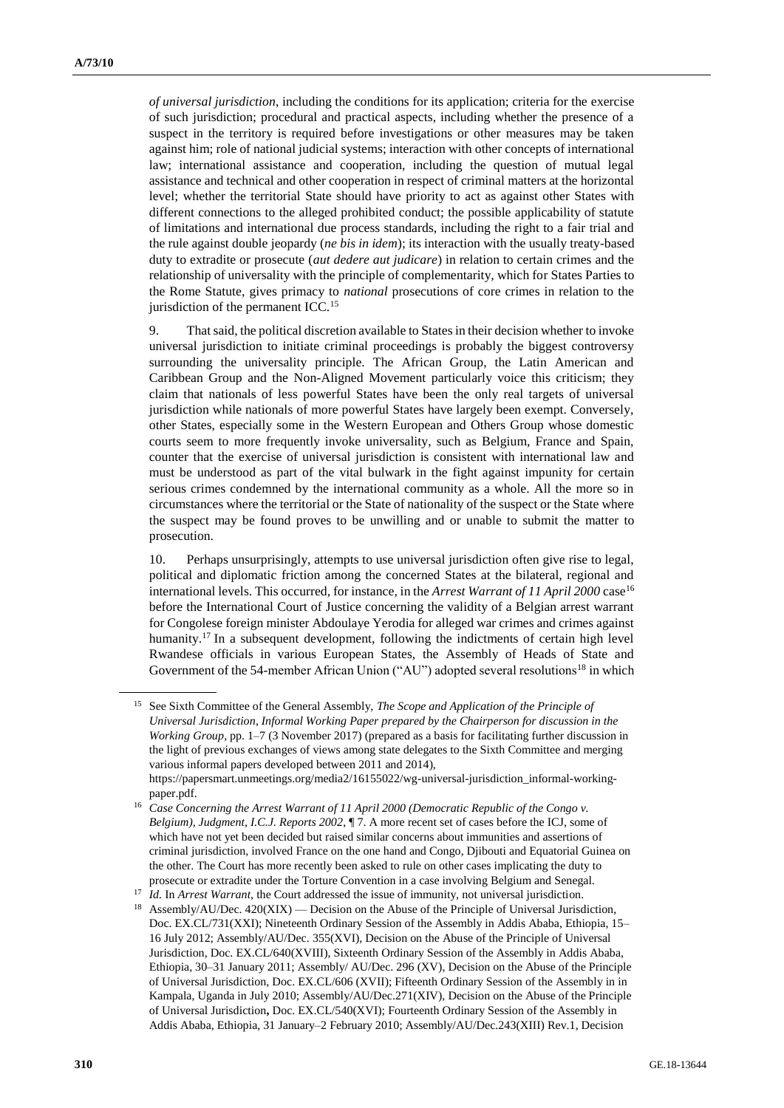*of universal jurisdiction*, including the conditions for its application; criteria for the exercise of such jurisdiction; procedural and practical aspects, including whether the presence of a suspect in the territory is required before investigations or other measures may be taken against him; role of national judicial systems; interaction with other concepts of international law; international assistance and cooperation, including the question of mutual legal assistance and technical and other cooperation in respect of criminal matters at the horizontal level; whether the territorial State should have priority to act as against other States with different connections to the alleged prohibited conduct; the possible applicability of statute of limitations and international due process standards, including the right to a fair trial and the rule against double jeopardy (*ne bis in idem*); its interaction with the usually treaty-based duty to extradite or prosecute (*aut dedere aut judicare*) in relation to certain crimes and the relationship of universality with the principle of complementarity, which for States Parties to the Rome Statute, gives primacy to *national* prosecutions of core crimes in relation to the jurisdiction of the permanent ICC.<sup>15</sup>

9. That said, the political discretion available to States in their decision whether to invoke universal jurisdiction to initiate criminal proceedings is probably the biggest controversy surrounding the universality principle. The African Group, the Latin American and Caribbean Group and the Non-Aligned Movement particularly voice this criticism; they claim that nationals of less powerful States have been the only real targets of universal jurisdiction while nationals of more powerful States have largely been exempt. Conversely, other States, especially some in the Western European and Others Group whose domestic courts seem to more frequently invoke universality, such as Belgium, France and Spain, counter that the exercise of universal jurisdiction is consistent with international law and must be understood as part of the vital bulwark in the fight against impunity for certain serious crimes condemned by the international community as a whole. All the more so in circumstances where the territorial or the State of nationality of the suspect or the State where the suspect may be found proves to be unwilling and or unable to submit the matter to prosecution.

10. Perhaps unsurprisingly, attempts to use universal jurisdiction often give rise to legal, political and diplomatic friction among the concerned States at the bilateral, regional and international levels. This occurred, for instance, in the *Arrest Warrant of 11 April 2000* case<sup>16</sup> before the International Court of Justice concerning the validity of a Belgian arrest warrant for Congolese foreign minister Abdoulaye Yerodia for alleged war crimes and crimes against humanity.<sup>17</sup> In a subsequent development, following the indictments of certain high level Rwandese officials in various European States, the Assembly of Heads of State and Government of the 54-member African Union ("AU") adopted several resolutions<sup>18</sup> in which

<sup>17</sup> *Id.* In *Arrest Warrant*, the Court addressed the issue of immunity, not universal jurisdiction.

<sup>15</sup> See Sixth Committee of the General Assembly, *The Scope and Application of the Principle of Universal Jurisdiction, Informal Working Paper prepared by the Chairperson for discussion in the Working Group*, pp. 1–7 (3 November 2017) (prepared as a basis for facilitating further discussion in the light of previous exchanges of views among state delegates to the Sixth Committee and merging various informal papers developed between 2011 and 2014), https://papersmart.unmeetings.org/media2/16155022/wg-universal-jurisdiction\_informal-workingpaper.pdf.

<sup>&</sup>lt;sup>16</sup> Case Concerning the Arrest Warrant of 11 April 2000 (Democratic Republic of the Congo v. *Belgium), Judgment, I.C.J. Reports 2002*, ¶ 7. A more recent set of cases before the ICJ, some of which have not yet been decided but raised similar concerns about immunities and assertions of criminal jurisdiction, involved France on the one hand and Congo, Djibouti and Equatorial Guinea on the other. The Court has more recently been asked to rule on other cases implicating the duty to prosecute or extradite under the Torture Convention in a case involving Belgium and Senegal.

Assembly/AU/Dec. 420(XIX) — Decision on the Abuse of the Principle of Universal Jurisdiction, Doc. EX.CL/731(XXI); Nineteenth Ordinary Session of the Assembly in Addis Ababa, Ethiopia, 15– 16 July 2012; Assembly/AU/Dec. 355(XVI), Decision on the Abuse of the Principle of Universal Jurisdiction, Doc. EX.CL/640(XVIII), Sixteenth Ordinary Session of the Assembly in Addis Ababa, Ethiopia, 30–31 January 2011; Assembly/ AU/Dec. 296 (XV), Decision on the Abuse of the Principle of Universal Jurisdiction, Doc. EX.CL/606 (XVII); Fifteenth Ordinary Session of the Assembly in in Kampala, Uganda in July 2010; Assembly/AU/Dec.271(XIV), Decision on the Abuse of the Principle of Universal Jurisdiction**,** Doc. EX.CL/540(XVI); Fourteenth Ordinary Session of the Assembly in Addis Ababa, Ethiopia, 31 January–2 February 2010; Assembly/AU/Dec.243(XIII) Rev.1, Decision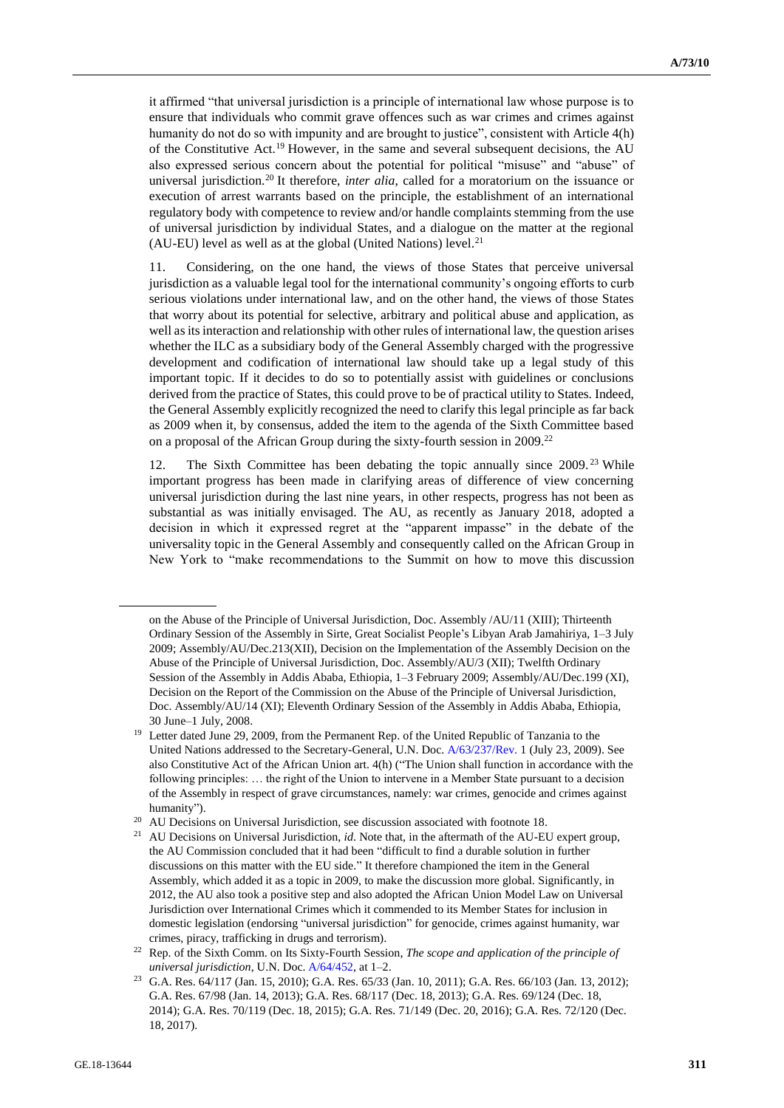it affirmed "that universal jurisdiction is a principle of international law whose purpose is to ensure that individuals who commit grave offences such as war crimes and crimes against humanity do not do so with impunity and are brought to justice", consistent with Article 4(h) of the Constitutive Act.<sup>19</sup> However, in the same and several subsequent decisions, the AU also expressed serious concern about the potential for political "misuse" and "abuse" of universal jurisdiction.<sup>20</sup> It therefore, *inter alia*, called for a moratorium on the issuance or execution of arrest warrants based on the principle, the establishment of an international regulatory body with competence to review and/or handle complaints stemming from the use of universal jurisdiction by individual States, and a dialogue on the matter at the regional  $(AU-EU)$  level as well as at the global (United Nations) level.<sup>21</sup>

11. Considering, on the one hand, the views of those States that perceive universal jurisdiction as a valuable legal tool for the international community's ongoing efforts to curb serious violations under international law, and on the other hand, the views of those States that worry about its potential for selective, arbitrary and political abuse and application, as well as its interaction and relationship with other rules of international law, the question arises whether the ILC as a subsidiary body of the General Assembly charged with the progressive development and codification of international law should take up a legal study of this important topic. If it decides to do so to potentially assist with guidelines or conclusions derived from the practice of States, this could prove to be of practical utility to States. Indeed, the General Assembly explicitly recognized the need to clarify this legal principle as far back as 2009 when it, by consensus, added the item to the agenda of the Sixth Committee based on a proposal of the African Group during the sixty-fourth session in 2009.<sup>22</sup>

12. The Sixth Committee has been debating the topic annually since 2009. <sup>23</sup> While important progress has been made in clarifying areas of difference of view concerning universal jurisdiction during the last nine years, in other respects, progress has not been as substantial as was initially envisaged. The AU, as recently as January 2018, adopted a decision in which it expressed regret at the "apparent impasse" in the debate of the universality topic in the General Assembly and consequently called on the African Group in New York to "make recommendations to the Summit on how to move this discussion

on the Abuse of the Principle of Universal Jurisdiction, Doc. Assembly /AU/11 (XIII); Thirteenth Ordinary Session of the Assembly in Sirte, Great Socialist People's Libyan Arab Jamahiriya, 1–3 July 2009; Assembly/AU/Dec.213(XII), Decision on the Implementation of the Assembly Decision on the Abuse of the Principle of Universal Jurisdiction, Doc. Assembly/AU/3 (XII); Twelfth Ordinary Session of the Assembly in Addis Ababa, Ethiopia, 1–3 February 2009; Assembly/AU/Dec.199 (XI), Decision on the Report of the Commission on the Abuse of the Principle of Universal Jurisdiction, Doc. Assembly/AU/14 (XI); Eleventh Ordinary Session of the Assembly in Addis Ababa, Ethiopia, 30 June–1 July, 2008.

<sup>&</sup>lt;sup>19</sup> Letter dated June 29, 2009, from the Permanent Rep. of the United Republic of Tanzania to the United Nations addressed to the Secretary-General, U.N. Doc. [A/63/237/Rev.](http://undocs.org/en/A/63/237/Rev.) 1 (July 23, 2009). See also Constitutive Act of the African Union art. 4(h) ("The Union shall function in accordance with the following principles: … the right of the Union to intervene in a Member State pursuant to a decision of the Assembly in respect of grave circumstances, namely: war crimes, genocide and crimes against humanity").

<sup>&</sup>lt;sup>20</sup> AU Decisions on Universal Jurisdiction, see discussion associated with footnote 18.

<sup>&</sup>lt;sup>21</sup> AU Decisions on Universal Jurisdiction, *id*. Note that, in the aftermath of the AU-EU expert group, the AU Commission concluded that it had been "difficult to find a durable solution in further discussions on this matter with the EU side." It therefore championed the item in the General Assembly, which added it as a topic in 2009, to make the discussion more global. Significantly, in 2012, the AU also took a positive step and also adopted the African Union Model Law on Universal Jurisdiction over International Crimes which it commended to its Member States for inclusion in domestic legislation (endorsing "universal jurisdiction" for genocide, crimes against humanity, war crimes, piracy, trafficking in drugs and terrorism).

<sup>22</sup> Rep. of the Sixth Comm. on Its Sixty-Fourth Session, *The scope and application of the principle of universal jurisdiction*, U.N. Doc[. A/64/452,](http://undocs.org/en/A/64/452) at 1–2.

<sup>23</sup> G.A. Res. 64/117 (Jan. 15, 2010); G.A. Res. 65/33 (Jan. 10, 2011); G.A. Res. 66/103 (Jan. 13, 2012); G.A. Res. 67/98 (Jan. 14, 2013); G.A. Res. 68/117 (Dec. 18, 2013); G.A. Res. 69/124 (Dec. 18, 2014); G.A. Res. 70/119 (Dec. 18, 2015); G.A. Res. 71/149 (Dec. 20, 2016); G.A. Res. 72/120 (Dec. 18, 2017).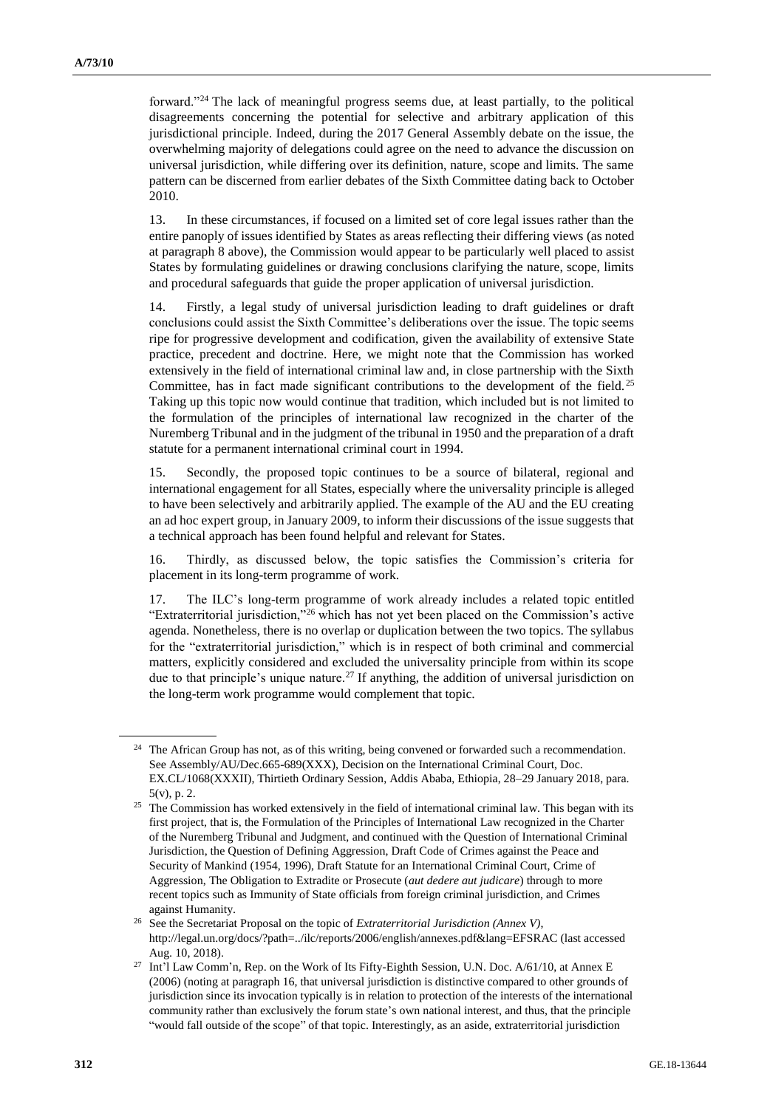forward."<sup>24</sup> The lack of meaningful progress seems due, at least partially, to the political disagreements concerning the potential for selective and arbitrary application of this jurisdictional principle. Indeed, during the 2017 General Assembly debate on the issue, the overwhelming majority of delegations could agree on the need to advance the discussion on universal jurisdiction, while differing over its definition, nature, scope and limits. The same pattern can be discerned from earlier debates of the Sixth Committee dating back to October 2010.

13. In these circumstances, if focused on a limited set of core legal issues rather than the entire panoply of issues identified by States as areas reflecting their differing views (as noted at paragraph 8 above), the Commission would appear to be particularly well placed to assist States by formulating guidelines or drawing conclusions clarifying the nature, scope, limits and procedural safeguards that guide the proper application of universal jurisdiction.

14. Firstly, a legal study of universal jurisdiction leading to draft guidelines or draft conclusions could assist the Sixth Committee's deliberations over the issue. The topic seems ripe for progressive development and codification, given the availability of extensive State practice, precedent and doctrine. Here, we might note that the Commission has worked extensively in the field of international criminal law and, in close partnership with the Sixth Committee, has in fact made significant contributions to the development of the field.<sup>25</sup> Taking up this topic now would continue that tradition, which included but is not limited to the formulation of the principles of international law recognized in the charter of the Nuremberg Tribunal and in the judgment of the tribunal in 1950 and the preparation of a draft statute for a permanent international criminal court in 1994.

15. Secondly, the proposed topic continues to be a source of bilateral, regional and international engagement for all States, especially where the universality principle is alleged to have been selectively and arbitrarily applied. The example of the AU and the EU creating an ad hoc expert group, in January 2009, to inform their discussions of the issue suggests that a technical approach has been found helpful and relevant for States.

16. Thirdly, as discussed below, the topic satisfies the Commission's criteria for placement in its long-term programme of work.

17. The ILC's long-term programme of work already includes a related topic entitled "Extraterritorial jurisdiction,"<sup>26</sup> which has not yet been placed on the Commission's active agenda. Nonetheless, there is no overlap or duplication between the two topics. The syllabus for the "extraterritorial jurisdiction," which is in respect of both criminal and commercial matters, explicitly considered and excluded the universality principle from within its scope due to that principle's unique nature.<sup>27</sup> If anything, the addition of universal jurisdiction on the long-term work programme would complement that topic.

<sup>&</sup>lt;sup>24</sup> The African Group has not, as of this writing, being convened or forwarded such a recommendation. See Assembly/AU/Dec.665-689(XXX), Decision on the International Criminal Court, Doc. EX.CL/1068(XXXII), Thirtieth Ordinary Session, Addis Ababa, Ethiopia, 28–29 January 2018, para. 5(v), p. 2.

<sup>&</sup>lt;sup>25</sup> The Commission has worked extensively in the field of international criminal law. This began with its first project, that is, the Formulation of the Principles of International Law recognized in the Charter of the Nuremberg Tribunal and Judgment, and continued with the Question of International Criminal Jurisdiction, the Question of Defining Aggression, Draft Code of Crimes against the Peace and Security of Mankind (1954, 1996), Draft Statute for an International Criminal Court, Crime of Aggression, The Obligation to Extradite or Prosecute (*aut dedere aut judicare*) through to more recent topics such as Immunity of State officials from foreign criminal jurisdiction, and Crimes against Humanity.

<sup>26</sup> See the Secretariat Proposal on the topic of *Extraterritorial Jurisdiction (Annex V)*, http://legal.un.org/docs/?path=../ilc/reports/2006/english/annexes.pdf&lang=EFSRAC (last accessed Aug. 10, 2018).

<sup>27</sup> Int'l Law Comm'n, Rep. on the Work of Its Fifty-Eighth Session, U.N. Doc. A/61/10, at Annex E (2006) (noting at paragraph 16, that universal jurisdiction is distinctive compared to other grounds of jurisdiction since its invocation typically is in relation to protection of the interests of the international community rather than exclusively the forum state's own national interest, and thus, that the principle "would fall outside of the scope" of that topic. Interestingly, as an aside, extraterritorial jurisdiction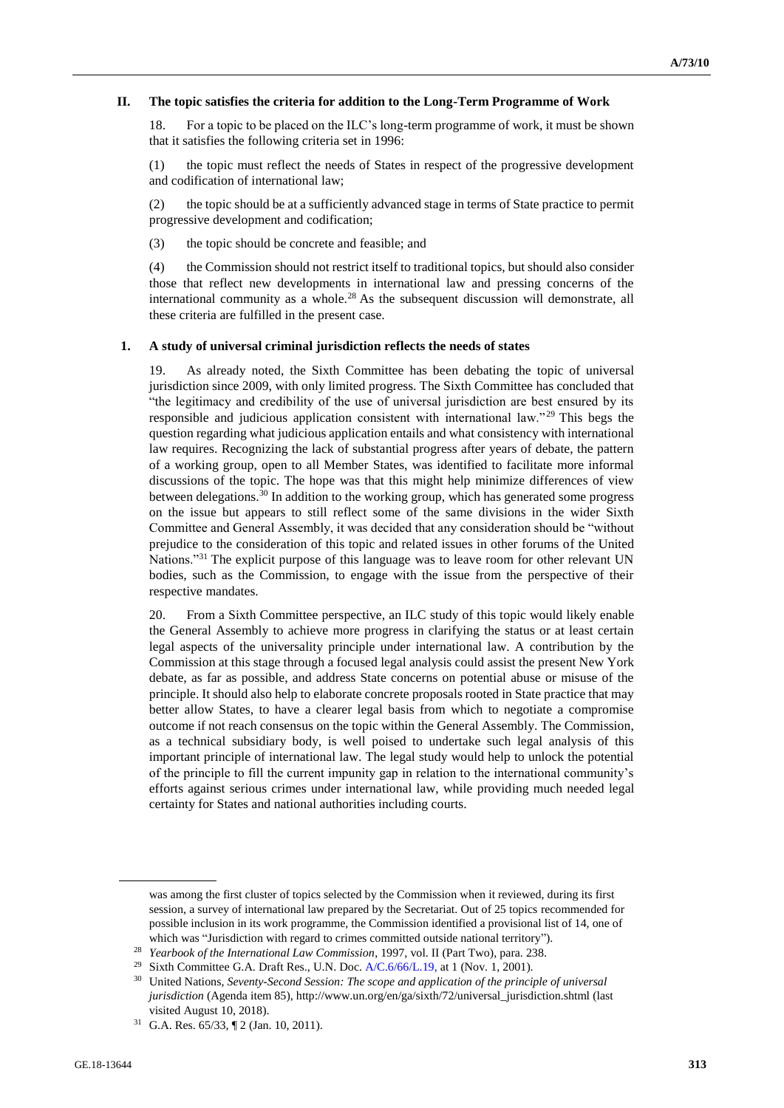## **II. The topic satisfies the criteria for addition to the Long-Term Programme of Work**

18. For a topic to be placed on the ILC's long-term programme of work, it must be shown that it satisfies the following criteria set in 1996:

(1) the topic must reflect the needs of States in respect of the progressive development and codification of international law;

(2) the topic should be at a sufficiently advanced stage in terms of State practice to permit progressive development and codification;

(3) the topic should be concrete and feasible; and

(4) the Commission should not restrict itself to traditional topics, but should also consider those that reflect new developments in international law and pressing concerns of the international community as a whole.<sup>28</sup> As the subsequent discussion will demonstrate, all these criteria are fulfilled in the present case.

### **1. A study of universal criminal jurisdiction reflects the needs of states**

19. As already noted, the Sixth Committee has been debating the topic of universal jurisdiction since 2009, with only limited progress. The Sixth Committee has concluded that "the legitimacy and credibility of the use of universal jurisdiction are best ensured by its responsible and judicious application consistent with international law."<sup>29</sup> This begs the question regarding what judicious application entails and what consistency with international law requires. Recognizing the lack of substantial progress after years of debate, the pattern of a working group, open to all Member States, was identified to facilitate more informal discussions of the topic. The hope was that this might help minimize differences of view between delegations.<sup>30</sup> In addition to the working group, which has generated some progress on the issue but appears to still reflect some of the same divisions in the wider Sixth Committee and General Assembly, it was decided that any consideration should be "without prejudice to the consideration of this topic and related issues in other forums of the United Nations."<sup>31</sup> The explicit purpose of this language was to leave room for other relevant UN bodies, such as the Commission, to engage with the issue from the perspective of their respective mandates.

20. From a Sixth Committee perspective, an ILC study of this topic would likely enable the General Assembly to achieve more progress in clarifying the status or at least certain legal aspects of the universality principle under international law. A contribution by the Commission at this stage through a focused legal analysis could assist the present New York debate, as far as possible, and address State concerns on potential abuse or misuse of the principle. It should also help to elaborate concrete proposals rooted in State practice that may better allow States, to have a clearer legal basis from which to negotiate a compromise outcome if not reach consensus on the topic within the General Assembly. The Commission, as a technical subsidiary body, is well poised to undertake such legal analysis of this important principle of international law. The legal study would help to unlock the potential of the principle to fill the current impunity gap in relation to the international community's efforts against serious crimes under international law, while providing much needed legal certainty for States and national authorities including courts.

was among the first cluster of topics selected by the Commission when it reviewed, during its first session, a survey of international law prepared by the Secretariat. Out of 25 topics recommended for possible inclusion in its work programme, the Commission identified a provisional list of 14, one of which was "Jurisdiction with regard to crimes committed outside national territory").

<sup>28</sup> *Yearbook of the International Law Commission*, 1997, vol. II (Part Two), para. 238.

<sup>&</sup>lt;sup>29</sup> Sixth Committee G.A. Draft Res., U.N. Doc.  $A/C.6/66/L.19$ , at 1 (Nov. 1, 2001).

<sup>30</sup> United Nations, *Seventy-Second Session: The scope and application of the principle of universal jurisdiction* (Agenda item 85), http://www.un.org/en/ga/sixth/72/universal\_jurisdiction.shtml (last visited August 10, 2018).

<sup>31</sup> G.A. Res. 65/33, ¶ 2 (Jan. 10, 2011).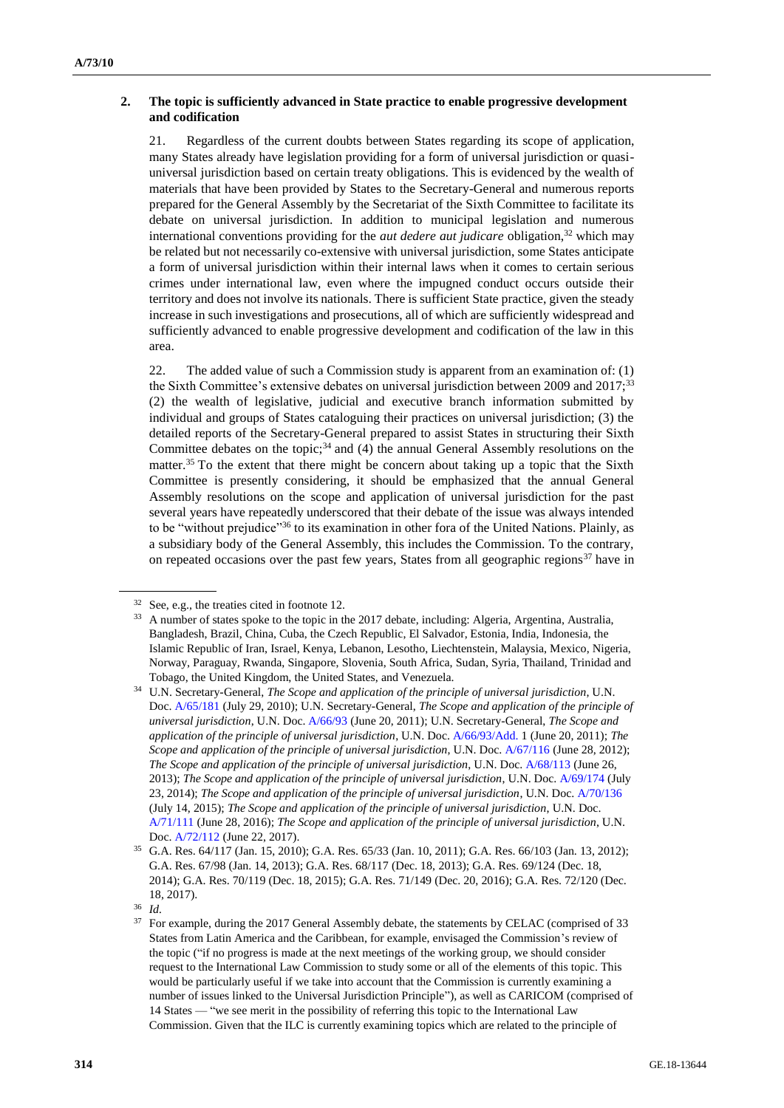# **2. The topic is sufficiently advanced in State practice to enable progressive development and codification**

21. Regardless of the current doubts between States regarding its scope of application, many States already have legislation providing for a form of universal jurisdiction or quasiuniversal jurisdiction based on certain treaty obligations. This is evidenced by the wealth of materials that have been provided by States to the Secretary-General and numerous reports prepared for the General Assembly by the Secretariat of the Sixth Committee to facilitate its debate on universal jurisdiction. In addition to municipal legislation and numerous international conventions providing for the *aut dedere aut judicare* obligation,<sup>32</sup> which may be related but not necessarily co-extensive with universal jurisdiction, some States anticipate a form of universal jurisdiction within their internal laws when it comes to certain serious crimes under international law, even where the impugned conduct occurs outside their territory and does not involve its nationals. There is sufficient State practice, given the steady increase in such investigations and prosecutions, all of which are sufficiently widespread and sufficiently advanced to enable progressive development and codification of the law in this area.

22. The added value of such a Commission study is apparent from an examination of: (1) the Sixth Committee's extensive debates on universal jurisdiction between 2009 and 2017;<sup>33</sup> (2) the wealth of legislative, judicial and executive branch information submitted by individual and groups of States cataloguing their practices on universal jurisdiction; (3) the detailed reports of the Secretary-General prepared to assist States in structuring their Sixth Committee debates on the topic; $34$  and (4) the annual General Assembly resolutions on the matter.<sup>35</sup> To the extent that there might be concern about taking up a topic that the Sixth Committee is presently considering, it should be emphasized that the annual General Assembly resolutions on the scope and application of universal jurisdiction for the past several years have repeatedly underscored that their debate of the issue was always intended to be "without prejudice"<sup>36</sup> to its examination in other fora of the United Nations. Plainly, as a subsidiary body of the General Assembly, this includes the Commission. To the contrary, on repeated occasions over the past few years, States from all geographic regions<sup>37</sup> have in

<sup>32</sup> See, e.g., the treaties cited in footnote 12.

<sup>&</sup>lt;sup>33</sup> A number of states spoke to the topic in the 2017 debate, including: Algeria, Argentina, Australia, Bangladesh, Brazil, China, Cuba, the Czech Republic, El Salvador, Estonia, India, Indonesia, the Islamic Republic of Iran, Israel, Kenya, Lebanon, Lesotho, Liechtenstein, Malaysia, Mexico, Nigeria, Norway, Paraguay, Rwanda, Singapore, Slovenia, South Africa, Sudan, Syria, Thailand, Trinidad and Tobago, the United Kingdom, the United States, and Venezuela.

<sup>34</sup> U.N. Secretary-General, *The Scope and application of the principle of universal jurisdiction*, U.N. Doc. [A/65/181](http://undocs.org/en/A/65/181) (July 29, 2010); U.N. Secretary-General, *The Scope and application of the principle of universal jurisdiction*, U.N. Doc[. A/66/93](http://undocs.org/en/A/66/93) (June 20, 2011); U.N. Secretary-General, *The Scope and application of the principle of universal jurisdiction*, U.N. Doc. [A/66/93/Add.](http://undocs.org/en/A/66/93/Add.) 1 (June 20, 2011); *The Scope and application of the principle of universal jurisdiction*, U.N. Doc[. A/67/116](http://undocs.org/en/A/67/116) (June 28, 2012); *The Scope and application of the principle of universal jurisdiction*, U.N. Doc[. A/68/113](http://undocs.org/en/A/68/113) (June 26, 2013); *The Scope and application of the principle of universal jurisdiction*, U.N. Doc. [A/69/174](http://undocs.org/en/A/69/174) (July 23, 2014); *The Scope and application of the principle of universal jurisdiction*, U.N. Doc[. A/70/136](http://undocs.org/en/A/70/136) (July 14, 2015); *The Scope and application of the principle of universal jurisdiction*, U.N. Doc. [A/71/111](http://undocs.org/en/A/71/111) (June 28, 2016); *The Scope and application of the principle of universal jurisdiction*, U.N. Doc. [A/72/112](http://undocs.org/en/A/72/112) (June 22, 2017).

<sup>35</sup> G.A. Res. 64/117 (Jan. 15, 2010); G.A. Res. 65/33 (Jan. 10, 2011); G.A. Res. 66/103 (Jan. 13, 2012); G.A. Res. 67/98 (Jan. 14, 2013); G.A. Res. 68/117 (Dec. 18, 2013); G.A. Res. 69/124 (Dec. 18, 2014); G.A. Res. 70/119 (Dec. 18, 2015); G.A. Res. 71/149 (Dec. 20, 2016); G.A. Res. 72/120 (Dec. 18, 2017).

<sup>36</sup> *Id.*

<sup>&</sup>lt;sup>37</sup> For example, during the 2017 General Assembly debate, the statements by CELAC (comprised of 33 States from Latin America and the Caribbean, for example, envisaged the Commission's review of the topic ("if no progress is made at the next meetings of the working group, we should consider request to the International Law Commission to study some or all of the elements of this topic. This would be particularly useful if we take into account that the Commission is currently examining a number of issues linked to the Universal Jurisdiction Principle"), as well as CARICOM (comprised of 14 States — "we see merit in the possibility of referring this topic to the International Law Commission. Given that the ILC is currently examining topics which are related to the principle of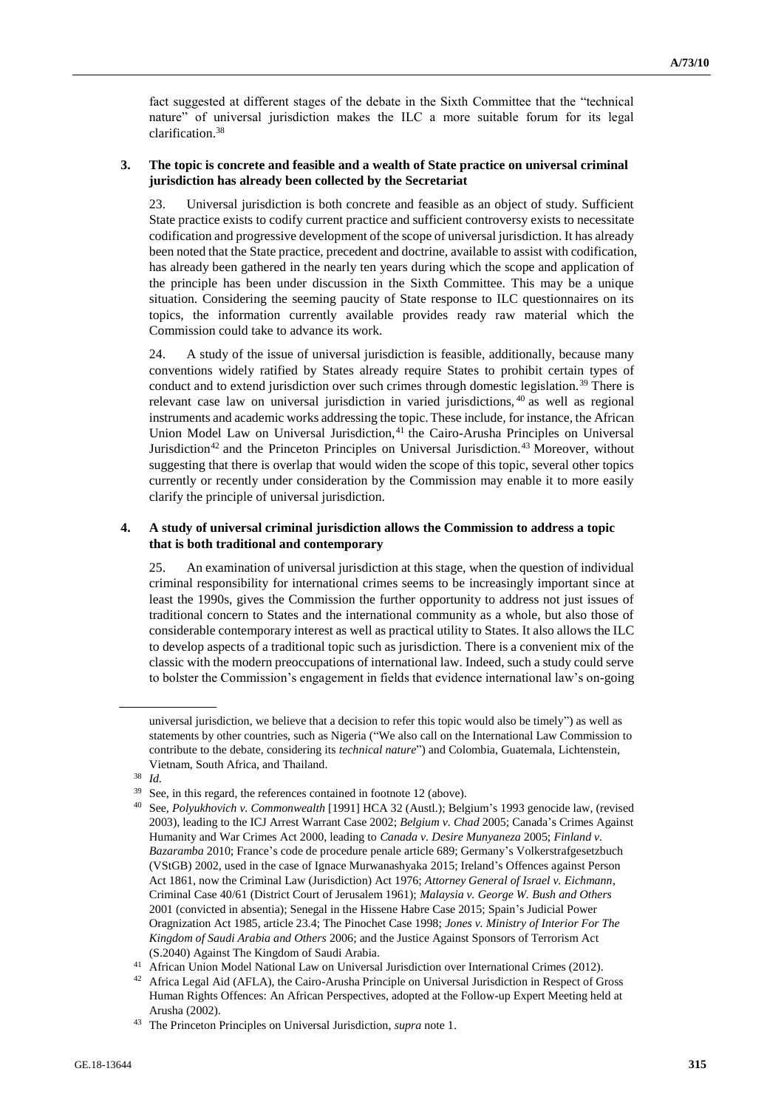fact suggested at different stages of the debate in the Sixth Committee that the "technical nature" of universal jurisdiction makes the ILC a more suitable forum for its legal clarification.<sup>38</sup>

# **3. The topic is concrete and feasible and a wealth of State practice on universal criminal jurisdiction has already been collected by the Secretariat**

23. Universal jurisdiction is both concrete and feasible as an object of study. Sufficient State practice exists to codify current practice and sufficient controversy exists to necessitate codification and progressive development of the scope of universal jurisdiction. It has already been noted that the State practice, precedent and doctrine, available to assist with codification, has already been gathered in the nearly ten years during which the scope and application of the principle has been under discussion in the Sixth Committee. This may be a unique situation. Considering the seeming paucity of State response to ILC questionnaires on its topics, the information currently available provides ready raw material which the Commission could take to advance its work.

24. A study of the issue of universal jurisdiction is feasible, additionally, because many conventions widely ratified by States already require States to prohibit certain types of conduct and to extend jurisdiction over such crimes through domestic legislation.<sup>39</sup> There is relevant case law on universal jurisdiction in varied jurisdictions, <sup>40</sup> as well as regional instruments and academic works addressing the topic.These include, for instance, the African Union Model Law on Universal Jurisdiction,<sup>41</sup> the Cairo-Arusha Principles on Universal Jurisdiction<sup>42</sup> and the Princeton Principles on Universal Jurisdiction.<sup>43</sup> Moreover, without suggesting that there is overlap that would widen the scope of this topic, several other topics currently or recently under consideration by the Commission may enable it to more easily clarify the principle of universal jurisdiction.

# **4. A study of universal criminal jurisdiction allows the Commission to address a topic that is both traditional and contemporary**

25. An examination of universal jurisdiction at this stage, when the question of individual criminal responsibility for international crimes seems to be increasingly important since at least the 1990s, gives the Commission the further opportunity to address not just issues of traditional concern to States and the international community as a whole, but also those of considerable contemporary interest as well as practical utility to States. It also allows the ILC to develop aspects of a traditional topic such as jurisdiction. There is a convenient mix of the classic with the modern preoccupations of international law. Indeed, such a study could serve to bolster the Commission's engagement in fields that evidence international law's on-going

universal jurisdiction, we believe that a decision to refer this topic would also be timely") as well as statements by other countries, such as Nigeria ("We also call on the International Law Commission to contribute to the debate, considering its *technical nature*") and Colombia, Guatemala, Lichtenstein, Vietnam, South Africa, and Thailand.

<sup>38</sup> *Id.*

 $39$  See, in this regard, the references contained in footnote 12 (above).

<sup>40</sup> See, *Polyukhovich v. Commonwealth* [1991] HCA 32 (Austl.); Belgium's 1993 genocide law, (revised 2003), leading to the ICJ Arrest Warrant Case 2002; *Belgium v. Chad* 2005; Canada's Crimes Against Humanity and War Crimes Act 2000, leading to *Canada v. Desire Munyaneza* 2005; *Finland v. Bazaramba* 2010; France's code de procedure penale article 689; Germany's Volkerstrafgesetzbuch (VStGB) 2002, used in the case of Ignace Murwanashyaka 2015; Ireland's Offences against Person Act 1861, now the Criminal Law (Jurisdiction) Act 1976; *Attorney General of Israel v. Eichmann*, Criminal Case 40/61 (District Court of Jerusalem 1961); *Malaysia v. George W. Bush and Others* 2001 (convicted in absentia); Senegal in the Hissene Habre Case 2015; Spain's Judicial Power Oragnization Act 1985, article 23.4; The Pinochet Case 1998; *Jones v. Ministry of Interior For The Kingdom of Saudi Arabia and Others* 2006; and the Justice Against Sponsors of Terrorism Act (S.2040) Against The Kingdom of Saudi Arabia.

<sup>41</sup> African Union Model National Law on Universal Jurisdiction over International Crimes (2012).

<sup>42</sup> Africa Legal Aid (AFLA), the Cairo-Arusha Principle on Universal Jurisdiction in Respect of Gross Human Rights Offences: An African Perspectives, adopted at the Follow-up Expert Meeting held at Arusha (2002).

<sup>43</sup> The Princeton Principles on Universal Jurisdiction, *supra* note 1.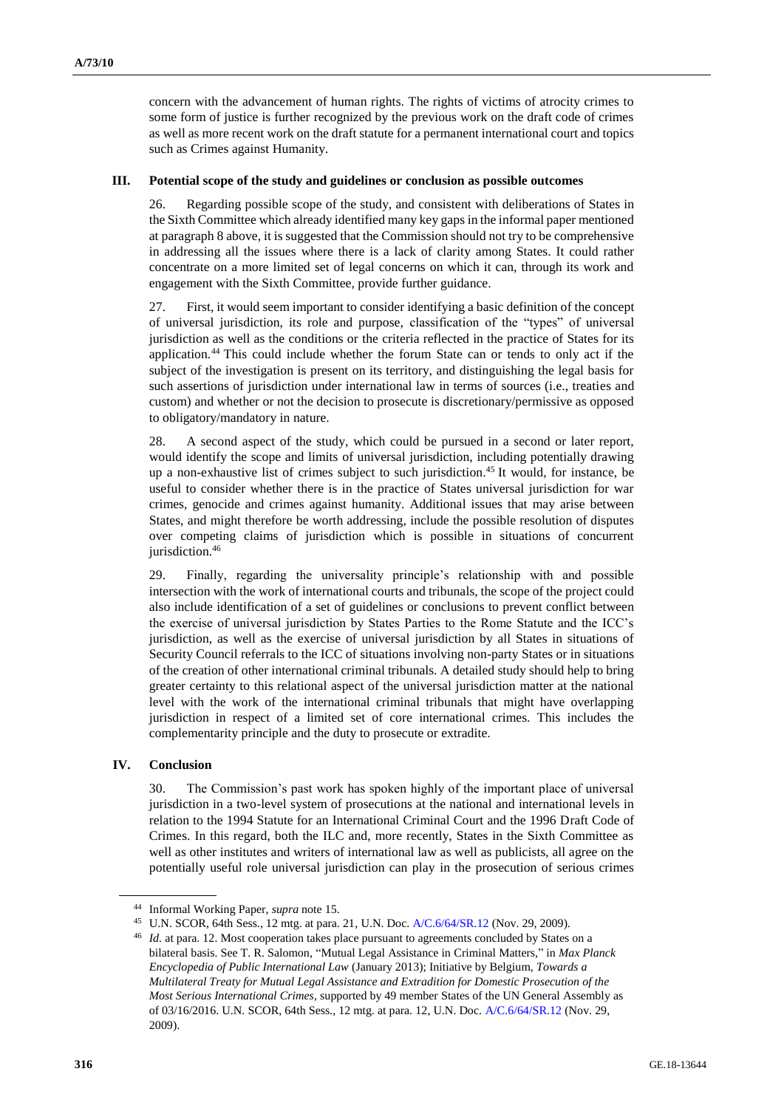concern with the advancement of human rights. The rights of victims of atrocity crimes to some form of justice is further recognized by the previous work on the draft code of crimes as well as more recent work on the draft statute for a permanent international court and topics such as Crimes against Humanity.

## **III. Potential scope of the study and guidelines or conclusion as possible outcomes**

26. Regarding possible scope of the study, and consistent with deliberations of States in the Sixth Committee which already identified many key gaps in the informal paper mentioned at paragraph 8 above, it is suggested that the Commission should not try to be comprehensive in addressing all the issues where there is a lack of clarity among States. It could rather concentrate on a more limited set of legal concerns on which it can, through its work and engagement with the Sixth Committee, provide further guidance.

27. First, it would seem important to consider identifying a basic definition of the concept of universal jurisdiction, its role and purpose, classification of the "types" of universal jurisdiction as well as the conditions or the criteria reflected in the practice of States for its application. <sup>44</sup> This could include whether the forum State can or tends to only act if the subject of the investigation is present on its territory, and distinguishing the legal basis for such assertions of jurisdiction under international law in terms of sources (i.e., treaties and custom) and whether or not the decision to prosecute is discretionary/permissive as opposed to obligatory/mandatory in nature.

28. A second aspect of the study, which could be pursued in a second or later report, would identify the scope and limits of universal jurisdiction, including potentially drawing up a non-exhaustive list of crimes subject to such jurisdiction. <sup>45</sup> It would, for instance, be useful to consider whether there is in the practice of States universal jurisdiction for war crimes, genocide and crimes against humanity. Additional issues that may arise between States, and might therefore be worth addressing, include the possible resolution of disputes over competing claims of jurisdiction which is possible in situations of concurrent jurisdiction.<sup>46</sup>

29. Finally, regarding the universality principle's relationship with and possible intersection with the work of international courts and tribunals, the scope of the project could also include identification of a set of guidelines or conclusions to prevent conflict between the exercise of universal jurisdiction by States Parties to the Rome Statute and the ICC's jurisdiction, as well as the exercise of universal jurisdiction by all States in situations of Security Council referrals to the ICC of situations involving non-party States or in situations of the creation of other international criminal tribunals. A detailed study should help to bring greater certainty to this relational aspect of the universal jurisdiction matter at the national level with the work of the international criminal tribunals that might have overlapping jurisdiction in respect of a limited set of core international crimes. This includes the complementarity principle and the duty to prosecute or extradite.

### **IV. Conclusion**

30. The Commission's past work has spoken highly of the important place of universal jurisdiction in a two-level system of prosecutions at the national and international levels in relation to the 1994 Statute for an International Criminal Court and the 1996 Draft Code of Crimes. In this regard, both the ILC and, more recently, States in the Sixth Committee as well as other institutes and writers of international law as well as publicists, all agree on the potentially useful role universal jurisdiction can play in the prosecution of serious crimes

<sup>44</sup> Informal Working Paper, *supra* note 15.

<sup>45</sup> U.N. SCOR, 64th Sess., 12 mtg. at para. 21, U.N. Doc[. A/C.6/64/SR.12](http://undocs.org/en/A/C.6/64/SR.12) (Nov. 29, 2009).

<sup>46</sup> *Id.* at para. 12. Most cooperation takes place pursuant to agreements concluded by States on a bilateral basis. See T. R. Salomon, "Mutual Legal Assistance in Criminal Matters," in *Max Planck Encyclopedia of Public International Law* (January 2013); Initiative by Belgium, *Towards a Multilateral Treaty for Mutual Legal Assistance and Extradition for Domestic Prosecution of the Most Serious International Crimes*, supported by 49 member States of the UN General Assembly as of 03/16/2016. U.N. SCOR, 64th Sess., 12 mtg. at para. 12, U.N. Doc[. A/C.6/64/SR.12](http://undocs.org/en/A/C.6/64/SR.12) (Nov. 29, 2009).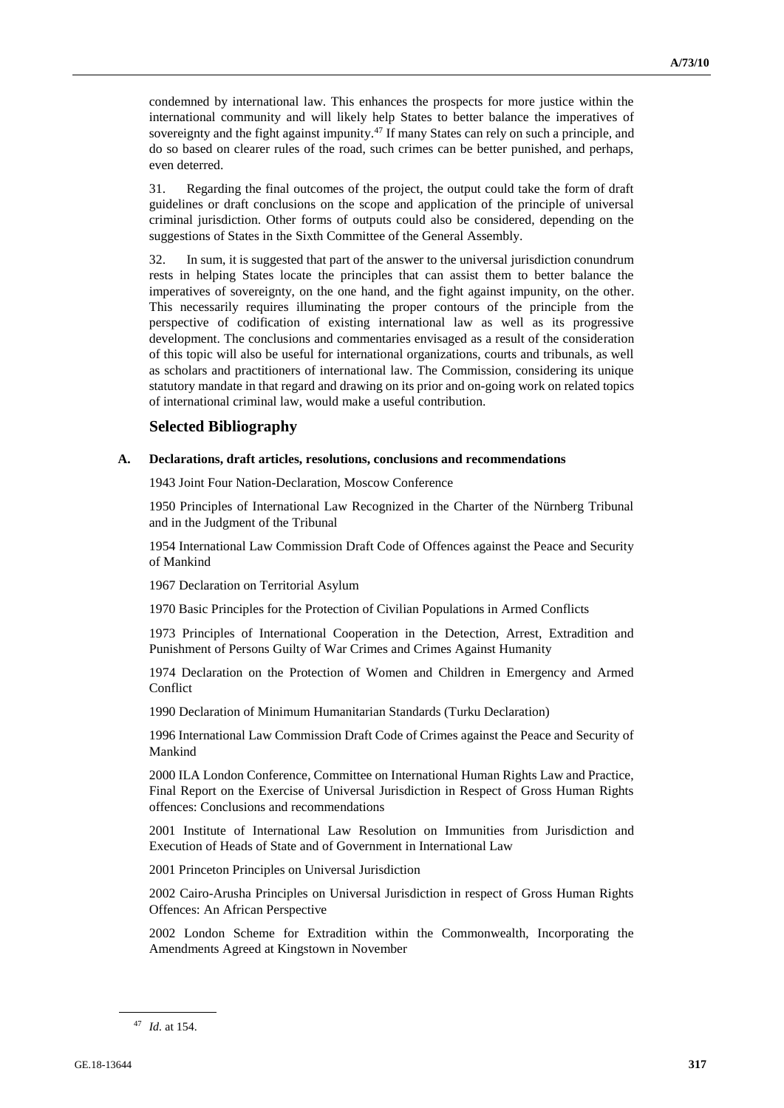condemned by international law. This enhances the prospects for more justice within the international community and will likely help States to better balance the imperatives of sovereignty and the fight against impunity.<sup>47</sup> If many States can rely on such a principle, and do so based on clearer rules of the road, such crimes can be better punished, and perhaps, even deterred.

31. Regarding the final outcomes of the project, the output could take the form of draft guidelines or draft conclusions on the scope and application of the principle of universal criminal jurisdiction. Other forms of outputs could also be considered, depending on the suggestions of States in the Sixth Committee of the General Assembly.

32. In sum, it is suggested that part of the answer to the universal jurisdiction conundrum rests in helping States locate the principles that can assist them to better balance the imperatives of sovereignty, on the one hand, and the fight against impunity, on the other. This necessarily requires illuminating the proper contours of the principle from the perspective of codification of existing international law as well as its progressive development. The conclusions and commentaries envisaged as a result of the consideration of this topic will also be useful for international organizations, courts and tribunals, as well as scholars and practitioners of international law. The Commission, considering its unique statutory mandate in that regard and drawing on its prior and on-going work on related topics of international criminal law, would make a useful contribution.

# **Selected Bibliography**

### **A. Declarations, draft articles, resolutions, conclusions and recommendations**

1943 Joint Four Nation-Declaration, Moscow Conference

1950 Principles of International Law Recognized in the Charter of the Nürnberg Tribunal and in the Judgment of the Tribunal

1954 International Law Commission Draft Code of Offences against the Peace and Security of Mankind

1967 Declaration on Territorial Asylum

1970 Basic Principles for the Protection of Civilian Populations in Armed Conflicts

1973 Principles of International Cooperation in the Detection, Arrest, Extradition and Punishment of Persons Guilty of War Crimes and Crimes Against Humanity

1974 Declaration on the Protection of Women and Children in Emergency and Armed Conflict

1990 Declaration of Minimum Humanitarian Standards (Turku Declaration)

1996 International Law Commission Draft Code of Crimes against the Peace and Security of Mankind

2000 ILA London Conference, Committee on International Human Rights Law and Practice, Final Report on the Exercise of Universal Jurisdiction in Respect of Gross Human Rights offences: Conclusions and recommendations

2001 Institute of International Law Resolution on Immunities from Jurisdiction and Execution of Heads of State and of Government in International Law

2001 Princeton Principles on Universal Jurisdiction

2002 Cairo-Arusha Principles on Universal Jurisdiction in respect of Gross Human Rights Offences: An African Perspective

2002 London Scheme for Extradition within the Commonwealth, Incorporating the Amendments Agreed at Kingstown in November

<sup>47</sup> *Id.* at 154.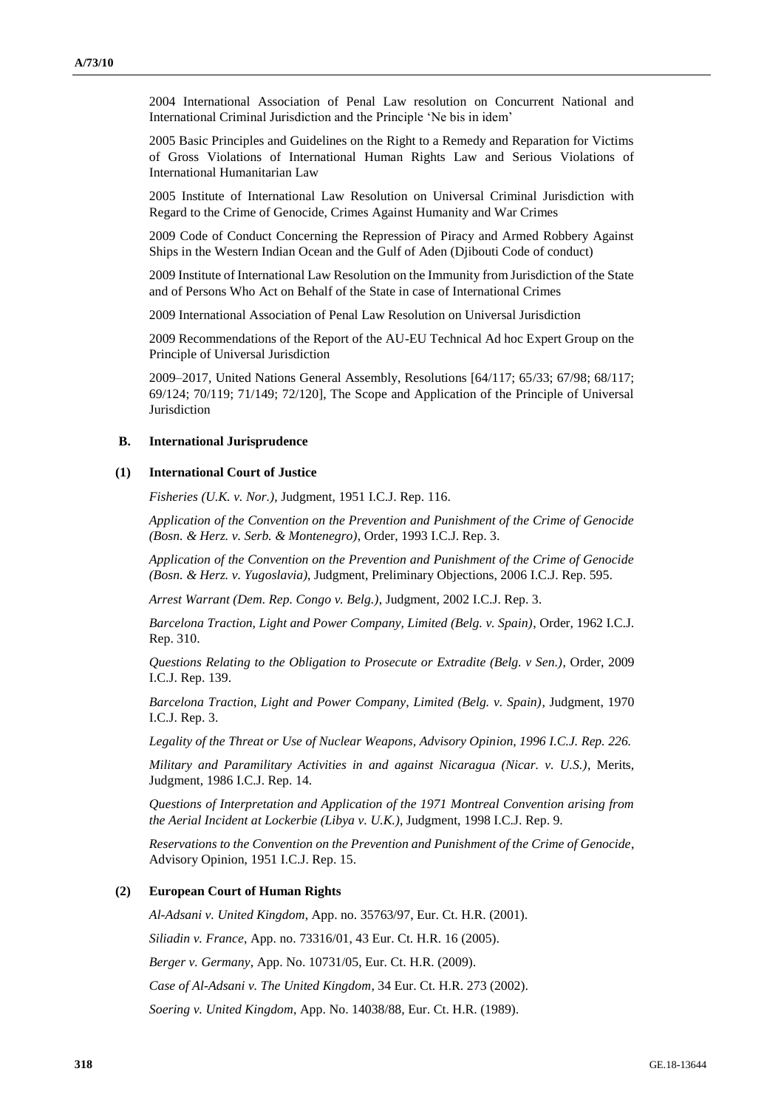2004 International Association of Penal Law resolution on Concurrent National and International Criminal Jurisdiction and the Principle 'Ne bis in idem'

2005 Basic Principles and Guidelines on the Right to a Remedy and Reparation for Victims of Gross Violations of International Human Rights Law and Serious Violations of International Humanitarian Law

2005 Institute of International Law Resolution on Universal Criminal Jurisdiction with Regard to the Crime of Genocide, Crimes Against Humanity and War Crimes

2009 Code of Conduct Concerning the Repression of Piracy and Armed Robbery Against Ships in the Western Indian Ocean and the Gulf of Aden (Djibouti Code of conduct)

2009 Institute of International Law Resolution on the Immunity from Jurisdiction of the State and of Persons Who Act on Behalf of the State in case of International Crimes

2009 International Association of Penal Law Resolution on Universal Jurisdiction

2009 Recommendations of the Report of the AU-EU Technical Ad hoc Expert Group on the Principle of Universal Jurisdiction

2009–2017, United Nations General Assembly, Resolutions [64/117; 65/33; 67/98; 68/117; 69/124; 70/119; 71/149; 72/120], The Scope and Application of the Principle of Universal Jurisdiction

#### **B. International Jurisprudence**

### **(1) International Court of Justice**

*Fisheries (U.K. v. Nor.)*, Judgment, 1951 I.C.J. Rep. 116.

*Application of the Convention on the Prevention and Punishment of the Crime of Genocide (Bosn. & Herz. v. Serb. & Montenegro)*, Order, 1993 I.C.J. Rep. 3.

*Application of the Convention on the Prevention and Punishment of the Crime of Genocide (Bosn. & Herz. v. Yugoslavia)*, Judgment, Preliminary Objections, 2006 I.C.J. Rep. 595.

*Arrest Warrant (Dem. Rep. Congo v. Belg.)*, Judgment, 2002 I.C.J. Rep. 3.

*Barcelona Traction, Light and Power Company, Limited (Belg. v. Spain)*, Order, 1962 I.C.J. Rep. 310.

*Questions Relating to the Obligation to Prosecute or Extradite (Belg. v Sen.)*, Order, 2009 I.C.J. Rep. 139.

*Barcelona Traction, Light and Power Company, Limited (Belg. v. Spain)*, Judgment, 1970 I.C.J. Rep. 3.

*Legality of the Threat or Use of Nuclear Weapons, Advisory Opinion, 1996 I.C.J. Rep. 226.*

*Military and Paramilitary Activities in and against Nicaragua (Nicar. v. U.S.)*, Merits, Judgment, 1986 I.C.J. Rep. 14.

*Questions of Interpretation and Application of the 1971 Montreal Convention arising from the Aerial Incident at Lockerbie (Libya v. U.K.)*, Judgment, 1998 I.C.J. Rep. 9.

*Reservations to the Convention on the Prevention and Punishment of the Crime of Genocide*, Advisory Opinion, 1951 I.C.J. Rep. 15.

### **(2) European Court of Human Rights**

*Al-Adsani v. United Kingdom*, App. no. 35763/97, Eur. Ct. H.R. (2001).

*Siliadin v. France*, App. no. 73316/01, 43 Eur. Ct. H.R. 16 (2005).

*Berger v. Germany*, App. No. 10731/05, Eur. Ct. H.R. (2009).

*Case of Al-Adsani v. The United Kingdom*, 34 Eur. Ct. H.R. 273 (2002).

*Soering v. United Kingdom*, App. No. 14038/88, Eur. Ct. H.R. (1989).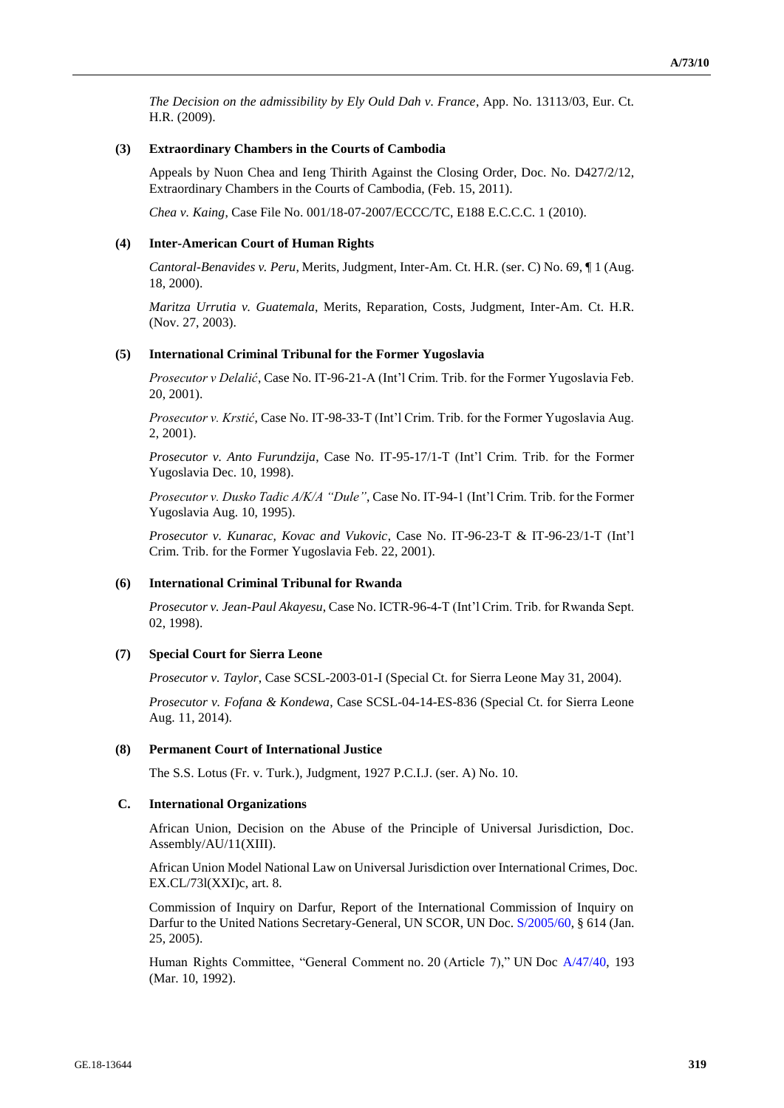*The Decision on the admissibility by Ely Ould Dah v. France*, App. No. 13113/03, Eur. Ct. H.R. (2009).

## **(3) Extraordinary Chambers in the Courts of Cambodia**

Appeals by Nuon Chea and Ieng Thirith Against the Closing Order, Doc. No. D427/2/12, Extraordinary Chambers in the Courts of Cambodia, (Feb. 15, 2011).

*Chea v. Kaing*, Case File No. 001/18-07-2007/ECCC/TC, E188 E.C.C.C. 1 (2010).

## **(4) Inter-American Court of Human Rights**

*Cantoral-Benavides v. Peru*, Merits, Judgment, Inter-Am. Ct. H.R. (ser. C) No. 69, ¶ 1 (Aug. 18, 2000).

*Maritza Urrutia v. Guatemala*, Merits, Reparation, Costs, Judgment, Inter-Am. Ct. H.R. (Nov. 27, 2003).

### **(5) International Criminal Tribunal for the Former Yugoslavia**

*Prosecutor v Delalić*, Case No. IT-96-21-A (Int'l Crim. Trib. for the Former Yugoslavia Feb. 20, 2001).

*Prosecutor v. Krstić*, Case No. IT-98-33-T (Int'l Crim. Trib. for the Former Yugoslavia Aug. 2, 2001).

*Prosecutor v. Anto Furundzija*, Case No. IT-95-17/1-T (Int'l Crim. Trib. for the Former Yugoslavia Dec. 10, 1998).

*Prosecutor v. Dusko Tadic A/K/A "Dule"*, Case No. IT-94-1 (Int'l Crim. Trib. for the Former Yugoslavia Aug. 10, 1995).

*Prosecutor v. Kunarac, Kovac and Vukovic*, Case No. IT-96-23-T & IT-96-23/1-T (Int'l Crim. Trib. for the Former Yugoslavia Feb. 22, 2001).

# **(6) International Criminal Tribunal for Rwanda**

*Prosecutor v. Jean-Paul Akayesu*, Case No. ICTR-96-4-T (Int'l Crim. Trib. for Rwanda Sept. 02, 1998).

# **(7) Special Court for Sierra Leone**

*Prosecutor v. Taylor*, Case SCSL-2003-01-I (Special Ct. for Sierra Leone May 31, 2004).

*Prosecutor v. Fofana & Kondewa*, Case SCSL-04-14-ES-836 (Special Ct. for Sierra Leone Aug. 11, 2014).

### **(8) Permanent Court of International Justice**

The S.S. Lotus (Fr. v. Turk.), Judgment, 1927 P.C.I.J. (ser. A) No. 10.

### **C. International Organizations**

African Union, Decision on the Abuse of the Principle of Universal Jurisdiction, Doc. Assembly/AU/11(XIII).

African Union Model National Law on Universal Jurisdiction over International Crimes, Doc. EX.CL/73l(XXI)c, art. 8.

Commission of Inquiry on Darfur, Report of the International Commission of Inquiry on Darfur to the United Nations Secretary-General, UN SCOR, UN Doc[. S/2005/60,](http://undocs.org/en/S/2005/60) § 614 (Jan. 25, 2005).

Human Rights Committee, "General Comment no. 20 (Article 7)," UN Doc [A/47/40,](http://undocs.org/en/A/47/40) 193 (Mar. 10, 1992).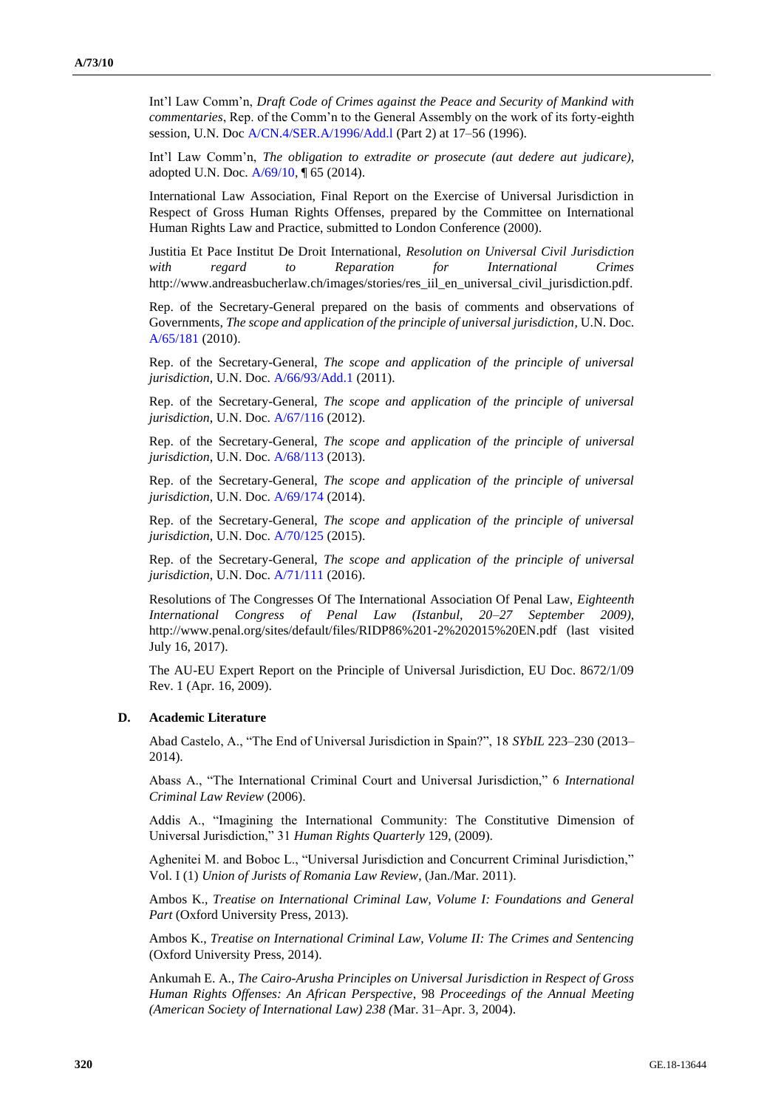Int'l Law Comm'n, *Draft Code of Crimes against the Peace and Security of Mankind with commentaries*, Rep. of the Comm'n to the General Assembly on the work of its forty-eighth session, U.N. Doc [A/CN.4/SER.A/1996/Add.l](http://undocs.org/en/A/CN.4/SER.A/1996/Add.l) (Part 2) at 17–56 (1996).

Int'l Law Comm'n, *The obligation to extradite or prosecute (aut dedere aut judicare),*  adopted U.N. Doc. [A/69/10,](http://undocs.org/en/A/69/10) ¶ 65 (2014).

International Law Association, Final Report on the Exercise of Universal Jurisdiction in Respect of Gross Human Rights Offenses, prepared by the Committee on International Human Rights Law and Practice, submitted to London Conference (2000).

Justitia Et Pace Institut De Droit International, *Resolution on Universal Civil Jurisdiction with regard to Reparation for International Crimes* http://www.andreasbucherlaw.ch/images/stories/res\_iil\_en\_universal\_civil\_jurisdiction.pdf.

Rep. of the Secretary-General prepared on the basis of comments and observations of Governments, *The scope and application of the principle of universal jurisdiction*, U.N. Doc. [A/65/181](http://undocs.org/en/A/65/181) (2010).

Rep. of the Secretary-General, *The scope and application of the principle of universal jurisdiction*, U.N. Doc. [A/66/93/Add.1](http://undocs.org/en/A/66/93/Add.1) (2011).

Rep. of the Secretary-General, *The scope and application of the principle of universal jurisdiction*, U.N. Doc. [A/67/116](http://undocs.org/en/A/67/116) (2012).

Rep. of the Secretary-General, *The scope and application of the principle of universal jurisdiction*, U.N. Doc. [A/68/113](http://undocs.org/en/A/68/113) (2013).

Rep. of the Secretary-General, *The scope and application of the principle of universal jurisdiction*, U.N. Doc. [A/69/174](http://undocs.org/en/A/69/174) (2014).

Rep. of the Secretary-General, *The scope and application of the principle of universal jurisdiction*, U.N. Doc. [A/70/125](http://undocs.org/en/A/70/125) (2015).

Rep. of the Secretary-General, *The scope and application of the principle of universal jurisdiction*, U.N. Doc. [A/71/111](http://undocs.org/en/A/71/111) (2016).

Resolutions of The Congresses Of The International Association Of Penal Law, *Eighteenth International Congress of Penal Law (Istanbul, 20–27 September 2009)*, http://www.penal.org/sites/default/files/RIDP86%201-2%202015%20EN.pdf (last visited July 16, 2017).

The AU-EU Expert Report on the Principle of Universal Jurisdiction, EU Doc. 8672/1/09 Rev. 1 (Apr. 16, 2009).

### **D. Academic Literature**

Abad Castelo, A., "The End of Universal Jurisdiction in Spain?", 18 *SYbIL* 223–230 (2013– 2014).

Abass A., "The International Criminal Court and Universal Jurisdiction," 6 *International Criminal Law Review* (2006).

Addis A., "Imagining the International Community: The Constitutive Dimension of Universal Jurisdiction," 31 *Human Rights Quarterly* 129, (2009).

Aghenitei M. and Boboc L., "Universal Jurisdiction and Concurrent Criminal Jurisdiction," Vol. I (1) *Union of Jurists of Romania Law Review*, (Jan./Mar. 2011).

Ambos K., *Treatise on International Criminal Law, Volume I: Foundations and General Part* (Oxford University Press, 2013).

Ambos K., *Treatise on International Criminal Law, Volume II: The Crimes and Sentencing*  (Oxford University Press, 2014).

Ankumah E. A., *The Cairo-Arusha Principles on Universal Jurisdiction in Respect of Gross Human Rights Offenses: An African Perspective*, 98 *Proceedings of the Annual Meeting (American Society of International Law) 238 (*Mar. 31–Apr. 3, 2004).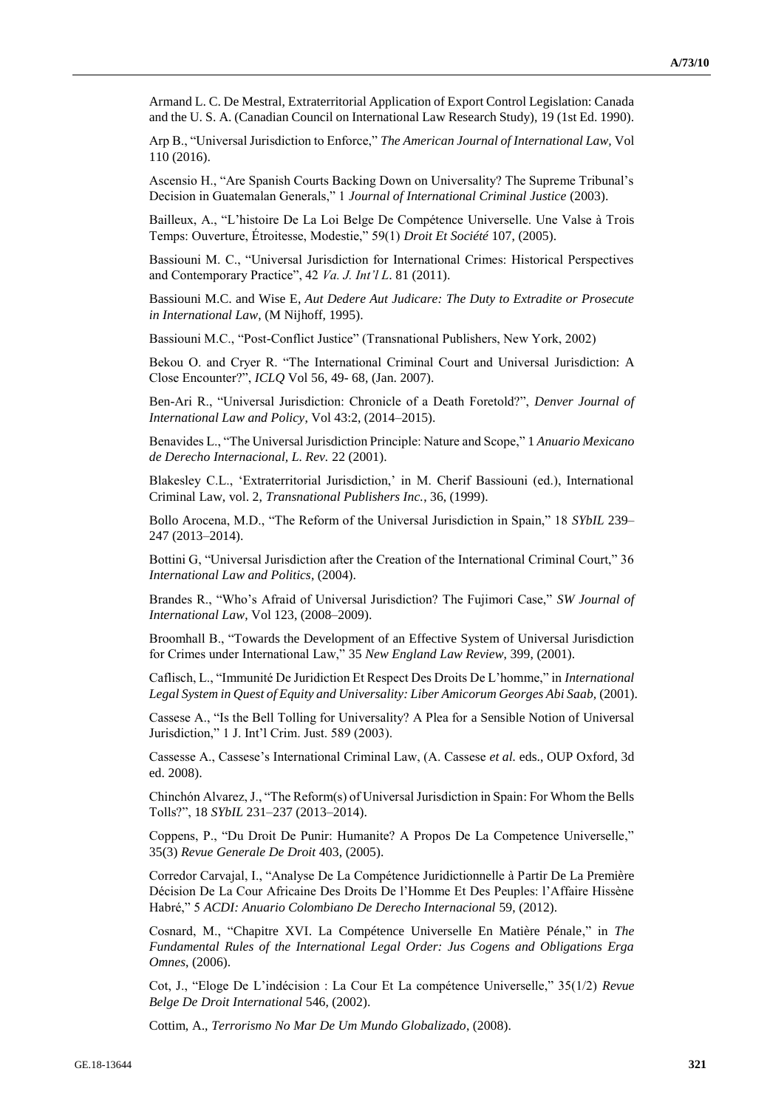Armand L. C. De Mestral, Extraterritorial Application of Export Control Legislation: Canada and the U. S. A. (Canadian Council on International Law Research Study), 19 (1st Ed. 1990).

Arp B., "Universal Jurisdiction to Enforce," *The American Journal of International Law,* Vol 110 (2016).

Ascensio H., "Are Spanish Courts Backing Down on Universality? The Supreme Tribunal's Decision in Guatemalan Generals," 1 *Journal of International Criminal Justice* (2003).

Bailleux, A., "L'histoire De La Loi Belge De Compétence Universelle. Une Valse à Trois Temps: Ouverture, Étroitesse, Modestie," 59(1) *Droit Et Société* 107, (2005).

Bassiouni M. C., "Universal Jurisdiction for International Crimes: Historical Perspectives and Contemporary Practice", 42 *Va. J. Int'l L*. 81 (2011).

Bassiouni M.C. and Wise E, *Aut Dedere Aut Judicare: The Duty to Extradite or Prosecute in International Law*, (M Nijhoff, 1995).

Bassiouni M.C., "Post-Conflict Justice" (Transnational Publishers, New York, 2002)

Bekou O. and Cryer R. "The International Criminal Court and Universal Jurisdiction: A Close Encounter?", *ICLQ* Vol 56, 49- 68, (Jan. 2007).

Ben-Ari R., "Universal Jurisdiction: Chronicle of a Death Foretold?", *Denver Journal of International Law and Policy*, Vol 43:2, (2014–2015).

Benavides L., "The Universal Jurisdiction Principle: Nature and Scope," 1 *Anuario Mexicano de Derecho Internacional, L. Rev.* 22 (2001).

Blakesley C.L., 'Extraterritorial Jurisdiction,' in M. Cherif Bassiouni (ed.), International Criminal Law, vol. 2, *Transnational Publishers Inc.*, 36, (1999).

Bollo Arocena, M.D., "The Reform of the Universal Jurisdiction in Spain," 18 *SYbIL* 239– 247 (2013–2014).

Bottini G, "Universal Jurisdiction after the Creation of the International Criminal Court," 36 *International Law and Politics*, (2004).

Brandes R., "Who's Afraid of Universal Jurisdiction? The Fujimori Case," *SW Journal of International Law*, Vol 123, (2008–2009).

Broomhall B., "Towards the Development of an Effective System of Universal Jurisdiction for Crimes under International Law," 35 *New England Law Review*, 399, (2001).

Caflisch, L., "Immunité De Juridiction Et Respect Des Droits De L'homme," in *International Legal System in Quest of Equity and Universality: Liber Amicorum Georges Abi Saab,* (2001).

Cassese A., "Is the Bell Tolling for Universality? A Plea for a Sensible Notion of Universal Jurisdiction," 1 J. Int'l Crim. Just. 589 (2003).

Cassesse A., Cassese's International Criminal Law, (A. Cassese *et al.* eds., OUP Oxford, 3d ed. 2008).

Chinchón Alvarez, J., "The Reform(s) of Universal Jurisdiction in Spain: For Whom the Bells Tolls?", 18 *SYbIL* 231–237 (2013–2014).

Coppens, P., "Du Droit De Punir: Humanite? A Propos De La Competence Universelle," 35(3) *Revue Generale De Droit* 403, (2005).

Corredor Carvajal, I., "Analyse De La Compétence Juridictionnelle à Partir De La Première Décision De La Cour Africaine Des Droits De l'Homme Et Des Peuples: l'Affaire Hissène Habré," 5 *ACDI: Anuario Colombiano De Derecho Internacional* 59, (2012).

Cosnard, M., "Chapitre XVI. La Compétence Universelle En Matière Pénale," in *The Fundamental Rules of the International Legal Order: Jus Cogens and Obligations Erga Omnes*, (2006).

Cot, J., "Eloge De L'indécision : La Cour Et La compétence Universelle," 35(1/2) *Revue Belge De Droit International* 546, (2002).

Cottim, A., *Terrorismo No Mar De Um Mundo Globalizado*, (2008).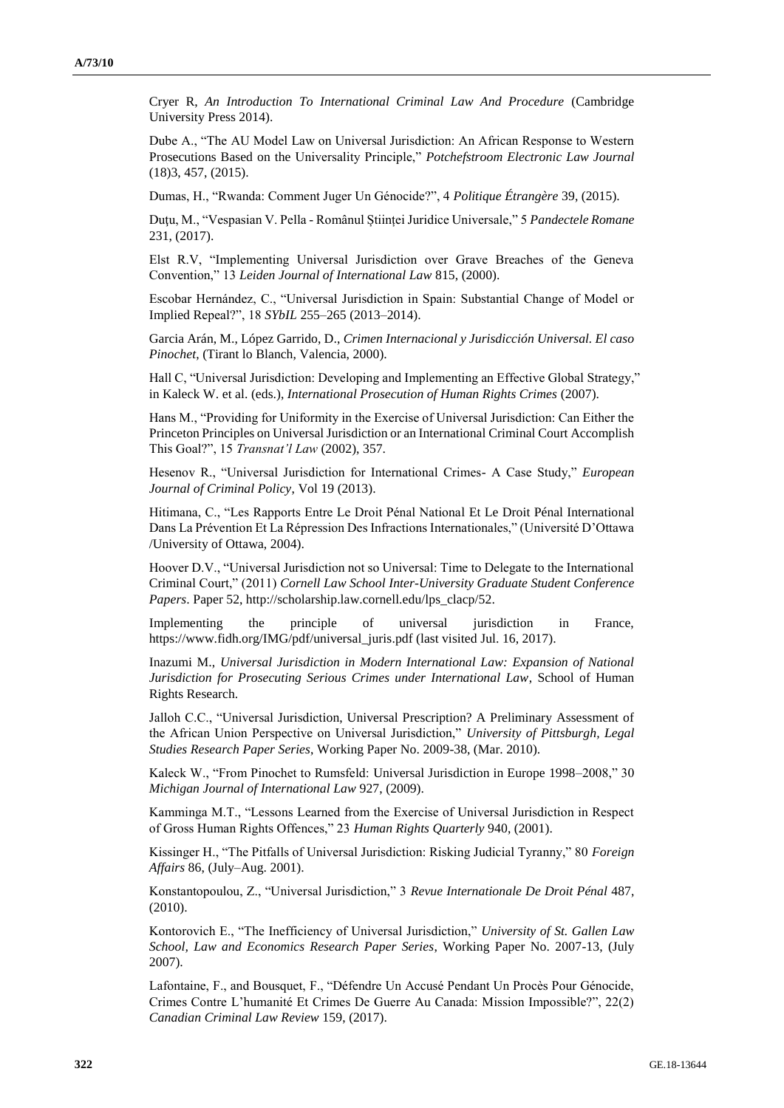Cryer R, *An Introduction To International Criminal Law And Procedure* (Cambridge University Press 2014).

Dube A., "The AU Model Law on Universal Jurisdiction: An African Response to Western Prosecutions Based on the Universality Principle," *Potchefstroom Electronic Law Journal*  (18)3, 457, (2015).

Dumas, H., "Rwanda: Comment Juger Un Génocide?", 4 *Politique Étrangère* 39, (2015).

Duţu, M., "Vespasian V. Pella - Românul Științei Juridice Universale," 5 *Pandectele Romane* 231, (2017).

Elst R.V, "Implementing Universal Jurisdiction over Grave Breaches of the Geneva Convention," 13 *Leiden Journal of International Law* 815, (2000).

Escobar Hernández, C., "Universal Jurisdiction in Spain: Substantial Change of Model or Implied Repeal?", 18 *SYbIL* 255–265 (2013–2014).

Garcia Arán, M., López Garrido, D., *Crimen Internacional y Jurisdicción Universal. El caso Pinochet*, (Tirant lo Blanch, Valencia, 2000).

Hall C, "Universal Jurisdiction: Developing and Implementing an Effective Global Strategy," in Kaleck W. et al. (eds.), *International Prosecution of Human Rights Crimes* (2007).

Hans M., "Providing for Uniformity in the Exercise of Universal Jurisdiction: Can Either the Princeton Principles on Universal Jurisdiction or an International Criminal Court Accomplish This Goal?", 15 *Transnat'l Law* (2002), 357.

Hesenov R., "Universal Jurisdiction for International Crimes- A Case Study," *European Journal of Criminal Policy*, Vol 19 (2013).

Hitimana, C., "Les Rapports Entre Le Droit Pénal National Et Le Droit Pénal International Dans La Prévention Et La Répression Des Infractions Internationales," (Université D'Ottawa /University of Ottawa, 2004).

Hoover D.V., "Universal Jurisdiction not so Universal: Time to Delegate to the International Criminal Court," (2011) *Cornell Law School Inter-University Graduate Student Conference Papers*. Paper 52, http://scholarship.law.cornell.edu/lps\_clacp/52.

Implementing the principle of universal jurisdiction in France, https://www.fidh.org/IMG/pdf/universal\_juris.pdf (last visited Jul. 16, 2017).

Inazumi M., *Universal Jurisdiction in Modern International Law: Expansion of National Jurisdiction for Prosecuting Serious Crimes under International Law*, School of Human Rights Research.

Jalloh C.C., "Universal Jurisdiction, Universal Prescription? A Preliminary Assessment of the African Union Perspective on Universal Jurisdiction," *University of Pittsburgh, Legal Studies Research Paper Series*, Working Paper No. 2009-38, (Mar. 2010).

Kaleck W., "From Pinochet to Rumsfeld: Universal Jurisdiction in Europe 1998–2008," 30 *Michigan Journal of International Law* 927, (2009).

Kamminga M.T., "Lessons Learned from the Exercise of Universal Jurisdiction in Respect of Gross Human Rights Offences," 23 *Human Rights Quarterly* 940, (2001).

Kissinger H., "The Pitfalls of Universal Jurisdiction: Risking Judicial Tyranny," 80 *Foreign Affairs* 86, (July–Aug. 2001).

Konstantopoulou, Z., "Universal Jurisdiction," 3 *Revue Internationale De Droit Pénal* 487, (2010).

Kontorovich E., "The Inefficiency of Universal Jurisdiction," *University of St. Gallen Law School, Law and Economics Research Paper Series*, Working Paper No. 2007-13, (July 2007).

Lafontaine, F., and Bousquet, F., "Défendre Un Accusé Pendant Un Procès Pour Génocide, Crimes Contre L'humanité Et Crimes De Guerre Au Canada: Mission Impossible?", 22(2) *Canadian Criminal Law Review* 159, (2017).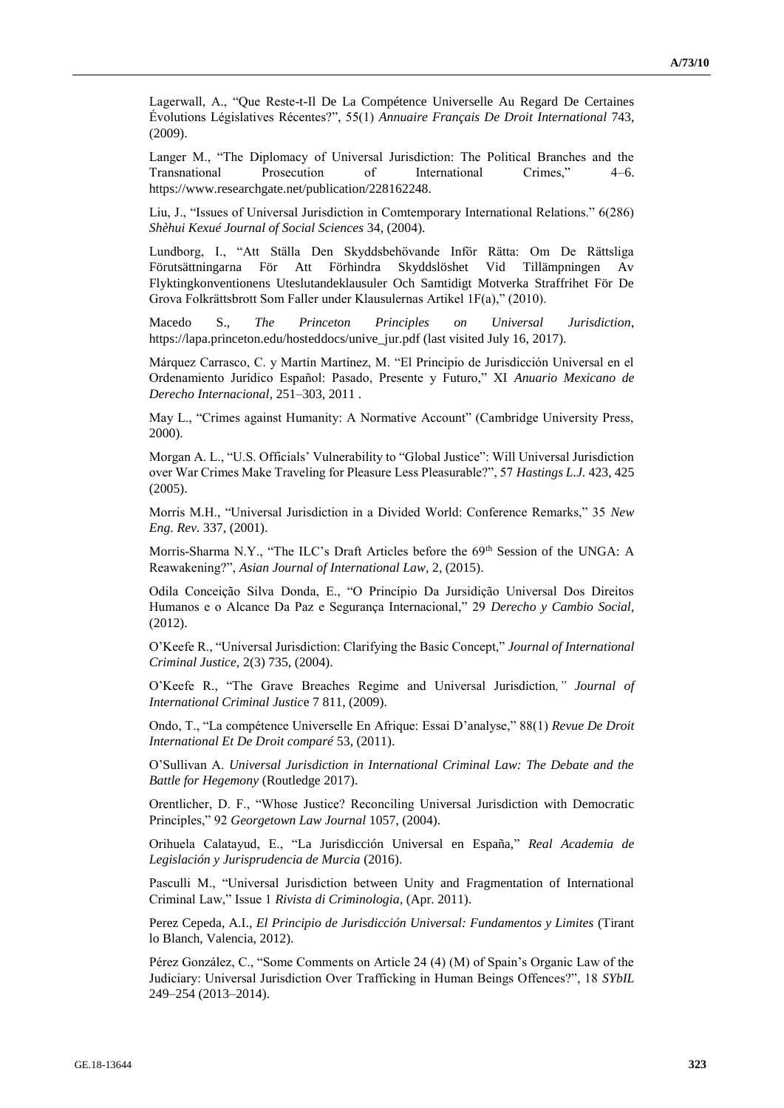Lagerwall, A., "Que Reste-t-Il De La Compétence Universelle Au Regard De Certaines Évolutions Législatives Récentes?", 55(1) *Annuaire Français De Droit International* 743, (2009).

Langer M., "The Diplomacy of Universal Jurisdiction: The Political Branches and the Transnational Prosecution of International Crimes," 4–6. https://www.researchgate.net/publication/228162248.

Liu, J., "Issues of Universal Jurisdiction in Comtemporary International Relations." 6(286) *Shèhui Kexué Journal of Social Sciences* 34, (2004).

Lundborg, I., "Att Ställa Den Skyddsbehövande Inför Rätta: Om De Rättsliga Förutsättningarna För Att Förhindra Skyddslöshet Vid Tillämpningen Av Flyktingkonventionens Uteslutandeklausuler Och Samtidigt Motverka Straffrihet För De Grova Folkrättsbrott Som Faller under Klausulernas Artikel 1F(a)," (2010).

Macedo S., *The Princeton Principles on Universal Jurisdiction*, https://lapa.princeton.edu/hosteddocs/unive\_jur.pdf (last visited July 16, 2017).

Márquez Carrasco, C. y Martín Martínez, M. "El Principio de Jurisdicción Universal en el Ordenamiento Jurídico Español: Pasado, Presente y Futuro," XI *Anuario Mexicano de Derecho Internacional*, 251–303, 2011 .

May L., "Crimes against Humanity: A Normative Account" (Cambridge University Press, 2000).

Morgan A. L., "U.S. Officials' Vulnerability to "Global Justice": Will Universal Jurisdiction over War Crimes Make Traveling for Pleasure Less Pleasurable?", 57 *Hastings L.J.* 423, 425 (2005).

Morris M.H., "Universal Jurisdiction in a Divided World: Conference Remarks," 35 *New Eng. Rev.* 337, (2001).

Morris-Sharma N.Y., "The ILC's Draft Articles before the 69<sup>th</sup> Session of the UNGA: A Reawakening?", *Asian Journal of International Law*, 2, (2015).

Odila Conceição Silva Donda, E., "O Princípio Da Jursidição Universal Dos Direitos Humanos e o Alcance Da Paz e Segurança Internacional," 29 *Derecho y Cambio Social*, (2012).

O'Keefe R., "Universal Jurisdiction: Clarifying the Basic Concept," *Journal of International Criminal Justice,* 2(3) 735, (2004).

O'Keefe R., "The Grave Breaches Regime and Universal Jurisdiction*," Journal of International Criminal Justic*e 7 811, (2009).

Ondo, T., "La compétence Universelle En Afrique: Essai D'analyse," 88(1) *Revue De Droit International Et De Droit comparé* 53, (2011).

O'Sullivan A. *Universal Jurisdiction in International Criminal Law: The Debate and the Battle for Hegemony* (Routledge 2017).

Orentlicher, D. F., "Whose Justice? Reconciling Universal Jurisdiction with Democratic Principles," 92 *Georgetown Law Journal* 1057, (2004).

Orihuela Calatayud, E., "La Jurisdicción Universal en España," *Real Academia de Legislación y Jurisprudencia de Murcia* (2016).

Pasculli M., "Universal Jurisdiction between Unity and Fragmentation of International Criminal Law," Issue 1 *Rivista di Criminologia*, (Apr. 2011).

Perez Cepeda, A.I., *El Principio de Jurisdicción Universal: Fundamentos y Limites* (Tirant lo Blanch, Valencia, 2012).

Pérez González, C., "Some Comments on Article 24 (4) (M) of Spain's Organic Law of the Judiciary: Universal Jurisdiction Over Trafficking in Human Beings Offences?", 18 *SYbIL* 249–254 (2013–2014).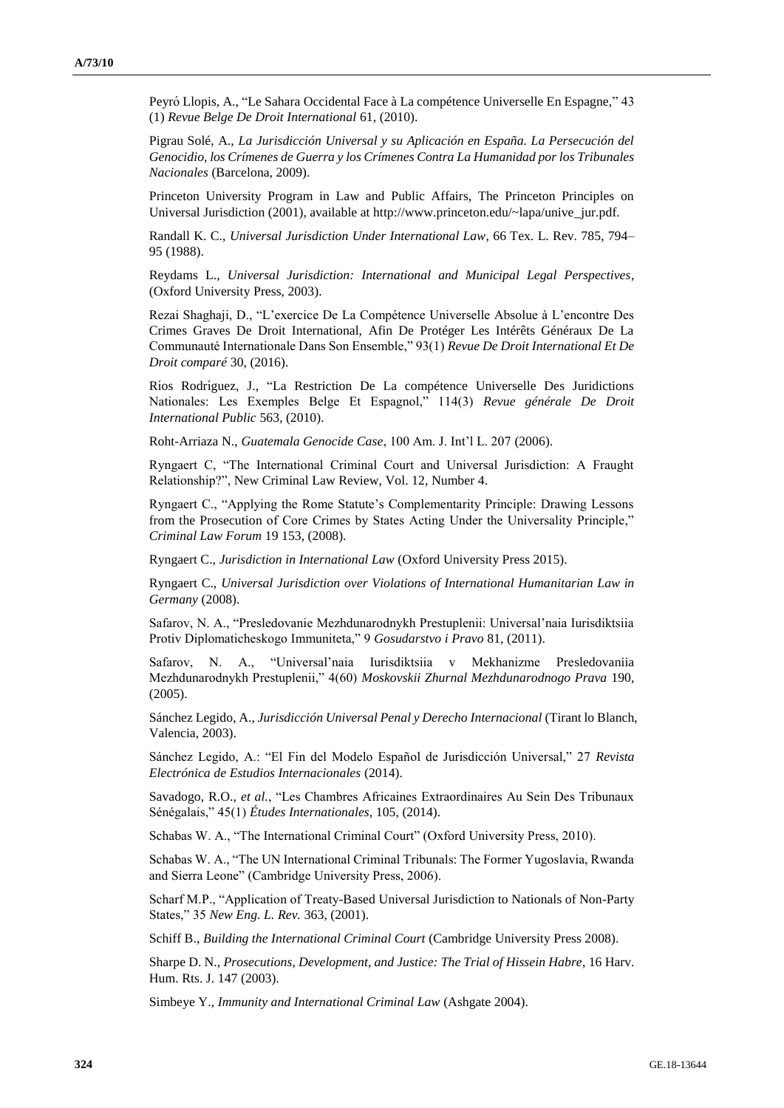Peyró Llopis, A., "Le Sahara Occidental Face à La compétence Universelle En Espagne," 43 (1) *Revue Belge De Droit International* 61, (2010).

Pigrau Solé, A., *La Jurisdicción Universal y su Aplicación en España. La Persecución del Genocidio, los Crímenes de Guerra y los Crímenes Contra La Humanidad por los Tribunales Nacionales* (Barcelona, 2009).

Princeton University Program in Law and Public Affairs, The Princeton Principles on Universal Jurisdiction (2001), available at http://www.princeton.edu/~lapa/unive\_jur.pdf.

Randall K. C., *Universal Jurisdiction Under International Law*, 66 Tex. L. Rev. 785, 794– 95 (1988).

Reydams L., *Universal Jurisdiction: International and Municipal Legal Perspectives*, (Oxford University Press, 2003).

Rezai Shaghaji, D., "L'exercice De La Compétence Universelle Absolue à L'encontre Des Crimes Graves De Droit International, Afin De Protéger Les Intérêts Généraux De La Communauté Internationale Dans Son Ensemble," 93(1) *Revue De Droit International Et De Droit comparé* 30, (2016).

Ríos Rodríguez, J., "La Restriction De La compétence Universelle Des Juridictions Nationales: Les Exemples Belge Et Espagnol," 114(3) *Revue générale De Droit International Public* 563, (2010).

Roht-Arriaza N., *Guatemala Genocide Case*, 100 Am. J. Int'l L. 207 (2006).

Ryngaert C, "The International Criminal Court and Universal Jurisdiction: A Fraught Relationship?", New Criminal Law Review, Vol. 12, Number 4.

Ryngaert C., "Applying the Rome Statute's Complementarity Principle: Drawing Lessons from the Prosecution of Core Crimes by States Acting Under the Universality Principle," *Criminal Law Forum* 19 153, (2008).

Ryngaert C., *Jurisdiction in International Law* (Oxford University Press 2015).

Ryngaert C., *Universal Jurisdiction over Violations of International Humanitarian Law in Germany* (2008).

Safarov, N. A., "Presledovanie Mezhdunarodnykh Prestuplenii: Universal'naia Iurisdiktsiia Protiv Diplomaticheskogo Immuniteta," 9 *Gosudarstvo i Pravo* 81, (2011).

Safarov, N. A., "Universal'naia Iurisdiktsiia v Mekhanizme Presledovaniia Mezhdunarodnykh Prestuplenii," 4(60) *Moskovskii Zhurnal Mezhdunarodnogo Prava* 190, (2005).

Sánchez Legido, A., *Jurisdicción Universal Penal y Derecho Internacional* (Tirant lo Blanch, Valencia, 2003).

Sánchez Legido, A.: "El Fin del Modelo Español de Jurisdicción Universal," 27 *Revista Electrónica de Estudios Internacionales* (2014).

Savadogo, R.O., *et al.*, "Les Chambres Africaines Extraordinaires Au Sein Des Tribunaux Sénégalais," 45(1) *Études Internationales*, 105, (2014).

Schabas W. A., "The International Criminal Court" (Oxford University Press, 2010).

Schabas W. A., "The UN International Criminal Tribunals: The Former Yugoslavia, Rwanda and Sierra Leone" (Cambridge University Press, 2006).

Scharf M.P., "Application of Treaty-Based Universal Jurisdiction to Nationals of Non-Party States," 35 *New Eng. L. Rev.* 363, (2001).

Schiff B., *Building the International Criminal Court* (Cambridge University Press 2008).

Sharpe D. N., *Prosecutions, Development, and Justice: The Trial of Hissein Habre*, 16 Harv. Hum. Rts. J. 147 (2003).

Simbeye Y., *Immunity and International Criminal Law* (Ashgate 2004).